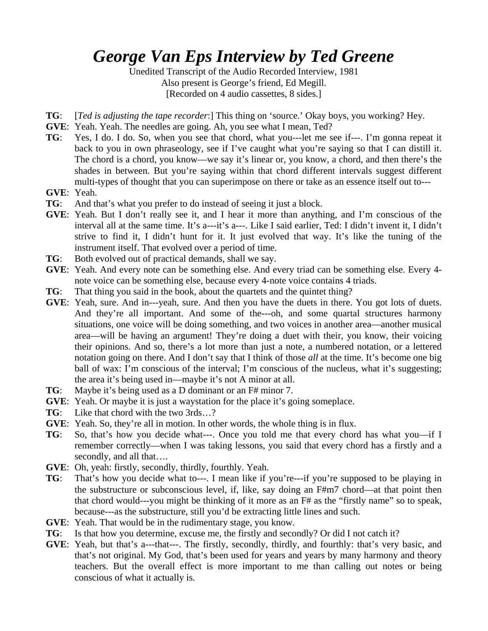# *George Van Eps Interview by Ted Greene*

Unedited Transcript of the Audio Recorded Interview, 1981 Also present is George's friend, Ed Megill. [Recorded on 4 audio cassettes, 8 sides.]

- **TG**: [*Ted is adjusting the tape recorder*:] This thing on 'source.' Okay boys, you working? Hey.
- **GVE**: Yeah. Yeah. The needles are going. Ah, you see what I mean, Ted?
- **TG**: Yes, I do. I do. So, when you see that chord, what you---let me see if---. I'm gonna repeat it back to you in own phraseology, see if I've caught what you're saying so that I can distill it. The chord is a chord, you know—we say it's linear or, you know, a chord, and then there's the shades in between. But you're saying within that chord different intervals suggest different multi-types of thought that you can superimpose on there or take as an essence itself out to---
- **GVE**: Yeah.
- **TG**: And that's what you prefer to do instead of seeing it just a block.
- **GVE**: Yeah. But I don't really see it, and I hear it more than anything, and I'm conscious of the interval all at the same time. It's a---it's a---. Like I said earlier, Ted: I didn't invent it, I didn't strive to find it, I didn't hunt for it. It just evolved that way. It's like the tuning of the instrument itself. That evolved over a period of time.
- **TG**: Both evolved out of practical demands, shall we say.
- **GVE**: Yeah. And every note can be something else. And every triad can be something else. Every 4 note voice can be something else, because every 4-note voice contains 4 triads.
- **TG**: That thing you said in the book, about the quartets and the quintet thing?
- **GVE**: Yeah, sure. And in---yeah, sure. And then you have the duets in there. You got lots of duets. And they're all important. And some of the---oh, and some quartal structures harmony situations, one voice will be doing something, and two voices in another area—another musical area—will be having an argument! They're doing a duet with their, you know, their voicing their opinions. And so, there's a lot more than just a note, a numbered notation, or a lettered notation going on there. And I don't say that I think of those *all* at the time. It's become one big ball of wax: I'm conscious of the interval; I'm conscious of the nucleus, what it's suggesting; the area it's being used in—maybe it's not A minor at all.
- **TG**: Maybe it's being used as a D dominant or an F# minor 7.
- **GVE**: Yeah. Or maybe it is just a waystation for the place it's going someplace.
- **TG**: Like that chord with the two 3rds…?
- **GVE**: Yeah. So, they're all in motion. In other words, the whole thing is in flux.
- **TG**: So, that's how you decide what---. Once you told me that every chord has what you—if I remember correctly—when I was taking lessons, you said that every chord has a firstly and a secondly, and all that….
- **GVE**: Oh, yeah: firstly, secondly, thirdly, fourthly. Yeah.
- **TG**: That's how you decide what to---. I mean like if you're---if you're supposed to be playing in the substructure or subconscious level, if, like, say doing an F#m7 chord—at that point then that chord would---you might be thinking of it more as an F# as the "firstly name" so to speak, because---as the substructure, still you'd be extracting little lines and such.
- **GVE**: Yeah. That would be in the rudimentary stage, you know.
- **TG**: Is that how you determine, excuse me, the firstly and secondly? Or did I not catch it?
- **GVE**: Yeah, but that's a---that---. The firstly, secondly, thirdly, and fourthly: that's very basic, and that's not original. My God, that's been used for years and years by many harmony and theory teachers. But the overall effect is more important to me than calling out notes or being conscious of what it actually is.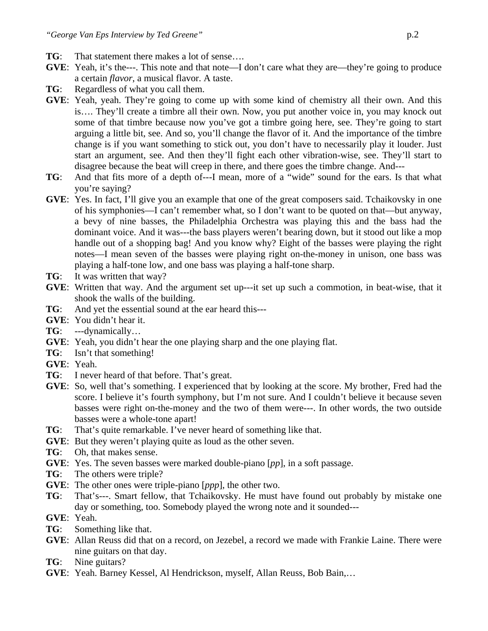- **TG**: That statement there makes a lot of sense….
- **GVE**: Yeah, it's the---. This note and that note—I don't care what they are—they're going to produce a certain *flavor*, a musical flavor. A taste.
- **TG**: Regardless of what you call them.
- **GVE**: Yeah, yeah. They're going to come up with some kind of chemistry all their own. And this is…. They'll create a timbre all their own. Now, you put another voice in, you may knock out some of that timbre because now you've got a timbre going here, see. They're going to start arguing a little bit, see. And so, you'll change the flavor of it. And the importance of the timbre change is if you want something to stick out, you don't have to necessarily play it louder. Just start an argument, see. And then they'll fight each other vibration-wise, see. They'll start to disagree because the beat will creep in there, and there goes the timbre change. And---
- **TG**: And that fits more of a depth of---I mean, more of a "wide" sound for the ears. Is that what you're saying?
- **GVE**: Yes. In fact, I'll give you an example that one of the great composers said. Tchaikovsky in one of his symphonies—I can't remember what, so I don't want to be quoted on that—but anyway, a bevy of nine basses, the Philadelphia Orchestra was playing this and the bass had the dominant voice. And it was---the bass players weren't bearing down, but it stood out like a mop handle out of a shopping bag! And you know why? Eight of the basses were playing the right notes—I mean seven of the basses were playing right on-the-money in unison, one bass was playing a half-tone low, and one bass was playing a half-tone sharp.
- **TG**: It was written that way?
- **GVE**: Written that way. And the argument set up---it set up such a commotion, in beat-wise, that it shook the walls of the building.
- **TG**: And yet the essential sound at the ear heard this---
- **GVE**: You didn't hear it.
- **TG**: ---dynamically…
- **GVE**: Yeah, you didn't hear the one playing sharp and the one playing flat.
- **TG**: Isn't that something!
- **GVE**: Yeah.
- **TG**: I never heard of that before. That's great.
- **GVE**: So, well that's something. I experienced that by looking at the score. My brother, Fred had the score. I believe it's fourth symphony, but I'm not sure. And I couldn't believe it because seven basses were right on-the-money and the two of them were---. In other words, the two outside basses were a whole-tone apart!
- **TG**: That's quite remarkable. I've never heard of something like that.
- **GVE**: But they weren't playing quite as loud as the other seven.
- **TG**: Oh, that makes sense.
- **GVE**: Yes. The seven basses were marked double-piano [*pp*], in a soft passage.
- **TG**: The others were triple?
- **GVE**: The other ones were triple-piano [*ppp*], the other two.
- **TG**: That's---. Smart fellow, that Tchaikovsky. He must have found out probably by mistake one day or something, too. Somebody played the wrong note and it sounded---
- **GVE**: Yeah.
- **TG**: Something like that.
- **GVE**: Allan Reuss did that on a record, on Jezebel, a record we made with Frankie Laine. There were nine guitars on that day.
- **TG**: Nine guitars?
- **GVE**: Yeah. Barney Kessel, Al Hendrickson, myself, Allan Reuss, Bob Bain,…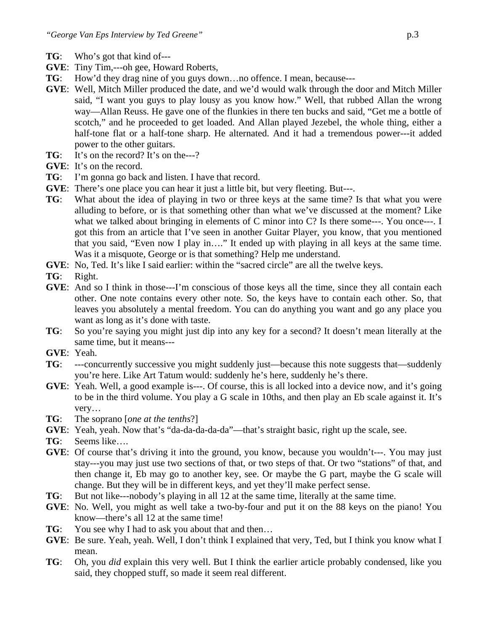- **TG**: Who's got that kind of---
- **GVE**: Tiny Tim,---oh gee, Howard Roberts,
- **TG**: How'd they drag nine of you guys down...no offence. I mean, because---
- **GVE**: Well, Mitch Miller produced the date, and we'd would walk through the door and Mitch Miller said, "I want you guys to play lousy as you know how." Well, that rubbed Allan the wrong way—Allan Reuss. He gave one of the flunkies in there ten bucks and said, "Get me a bottle of scotch," and he proceeded to get loaded. And Allan played Jezebel, the whole thing, either a half-tone flat or a half-tone sharp. He alternated. And it had a tremendous power---it added power to the other guitars.
- **TG**: It's on the record? It's on the---?
- **GVE**: It's on the record.
- **TG**: I'm gonna go back and listen. I have that record.
- **GVE:** There's one place you can hear it just a little bit, but very fleeting. But---.
- **TG**: What about the idea of playing in two or three keys at the same time? Is that what you were alluding to before, or is that something other than what we've discussed at the moment? Like what we talked about bringing in elements of C minor into C? Is there some---. You once---. I got this from an article that I've seen in another Guitar Player, you know, that you mentioned that you said, "Even now I play in…." It ended up with playing in all keys at the same time. Was it a misquote, George or is that something? Help me understand.
- **GVE**: No, Ted. It's like I said earlier: within the "sacred circle" are all the twelve keys.
- **TG**: Right.
- **GVE**: And so I think in those---I'm conscious of those keys all the time, since they all contain each other. One note contains every other note. So, the keys have to contain each other. So, that leaves you absolutely a mental freedom. You can do anything you want and go any place you want as long as it's done with taste.
- **TG**: So you're saying you might just dip into any key for a second? It doesn't mean literally at the same time, but it means---
- **GVE**: Yeah.
- **TG**: ---concurrently successive you might suddenly just—because this note suggests that—suddenly you're here. Like Art Tatum would: suddenly he's here, suddenly he's there.
- **GVE:** Yeah. Well, a good example is---. Of course, this is all locked into a device now, and it's going to be in the third volume. You play a G scale in 10ths, and then play an Eb scale against it. It's very…
- **TG**: The soprano [*one at the tenths*?]
- **GVE**: Yeah, yeah. Now that's "da-da-da-da-da"—that's straight basic, right up the scale, see.
- **TG**: Seems like….
- **GVE**: Of course that's driving it into the ground, you know, because you wouldn't---. You may just stay---you may just use two sections of that, or two steps of that. Or two "stations" of that, and then change it, Eb may go to another key, see. Or maybe the G part, maybe the G scale will change. But they will be in different keys, and yet they'll make perfect sense.
- **TG**: But not like---nobody's playing in all 12 at the same time, literally at the same time.
- **GVE**: No. Well, you might as well take a two-by-four and put it on the 88 keys on the piano! You know—there's all 12 at the same time!
- **TG**: You see why I had to ask you about that and then...
- **GVE**: Be sure. Yeah, yeah. Well, I don't think I explained that very, Ted, but I think you know what I mean.
- **TG**: Oh, you *did* explain this very well. But I think the earlier article probably condensed, like you said, they chopped stuff, so made it seem real different.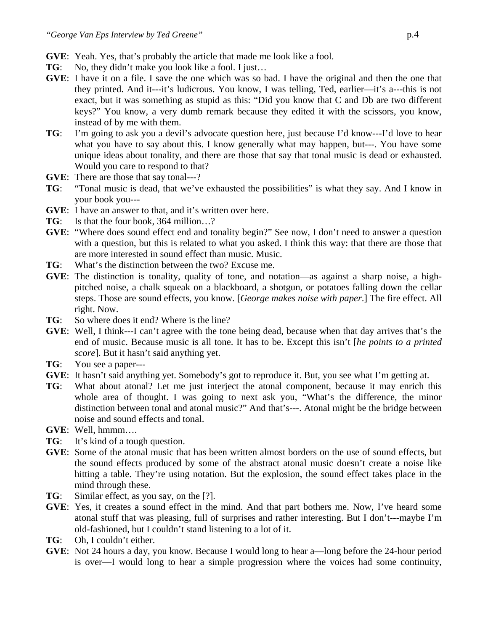- **GVE**: Yeah. Yes, that's probably the article that made me look like a fool.
- **TG**: No, they didn't make you look like a fool. I just...
- **GVE**: I have it on a file. I save the one which was so bad. I have the original and then the one that they printed. And it---it's ludicrous. You know, I was telling, Ted, earlier—it's a---this is not exact, but it was something as stupid as this: "Did you know that C and Db are two different keys?" You know, a very dumb remark because they edited it with the scissors, you know, instead of by me with them.
- **TG**: I'm going to ask you a devil's advocate question here, just because I'd know---I'd love to hear what you have to say about this. I know generally what may happen, but---. You have some unique ideas about tonality, and there are those that say that tonal music is dead or exhausted. Would you care to respond to that?
- **GVE**: There are those that say tonal---?
- **TG**: "Tonal music is dead, that we've exhausted the possibilities" is what they say. And I know in your book you---
- **GVE**: I have an answer to that, and it's written over here.
- **TG**: Is that the four book, 364 million…?
- **GVE**: "Where does sound effect end and tonality begin?" See now, I don't need to answer a question with a question, but this is related to what you asked. I think this way: that there are those that are more interested in sound effect than music. Music.
- **TG**: What's the distinction between the two? Excuse me.
- **GVE**: The distinction is tonality, quality of tone, and notation—as against a sharp noise, a highpitched noise, a chalk squeak on a blackboard, a shotgun, or potatoes falling down the cellar steps. Those are sound effects, you know. [*George makes noise with paper*.] The fire effect. All right. Now.
- **TG**: So where does it end? Where is the line?
- **GVE**: Well, I think---I can't agree with the tone being dead, because when that day arrives that's the end of music. Because music is all tone. It has to be. Except this isn't [*he points to a printed score*]. But it hasn't said anything yet.
- **TG**: You see a paper---
- **GVE**: It hasn't said anything yet. Somebody's got to reproduce it. But, you see what I'm getting at.
- **TG**: What about atonal? Let me just interject the atonal component, because it may enrich this whole area of thought. I was going to next ask you, "What's the difference, the minor distinction between tonal and atonal music?" And that's---. Atonal might be the bridge between noise and sound effects and tonal.
- **GVE**: Well, hmmm….
- **TG**: It's kind of a tough question.
- **GVE**: Some of the atonal music that has been written almost borders on the use of sound effects, but the sound effects produced by some of the abstract atonal music doesn't create a noise like hitting a table. They're using notation. But the explosion, the sound effect takes place in the mind through these.
- **TG**: Similar effect, as you say, on the [?].
- **GVE**: Yes, it creates a sound effect in the mind. And that part bothers me. Now, I've heard some atonal stuff that was pleasing, full of surprises and rather interesting. But I don't---maybe I'm old-fashioned, but I couldn't stand listening to a lot of it.
- **TG**: Oh, I couldn't either.
- **GVE**: Not 24 hours a day, you know. Because I would long to hear a—long before the 24-hour period is over—I would long to hear a simple progression where the voices had some continuity,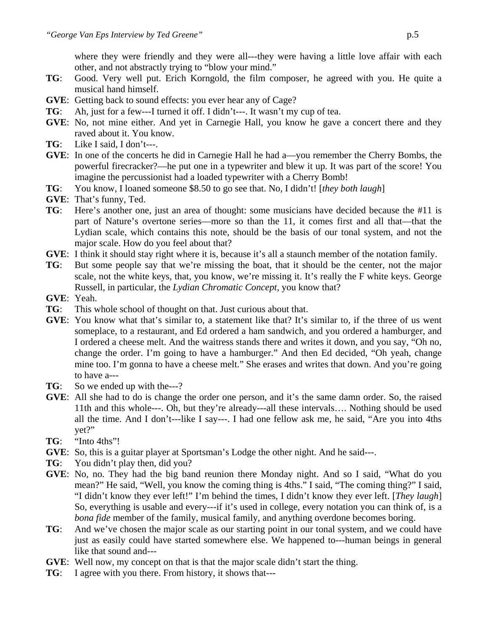where they were friendly and they were all---they were having a little love affair with each other, and not abstractly trying to "blow your mind."

- **TG**: Good. Very well put. Erich Korngold, the film composer, he agreed with you. He quite a musical hand himself.
- **GVE**: Getting back to sound effects: you ever hear any of Cage?
- **TG**: Ah, just for a few---I turned it off. I didn't---. It wasn't my cup of tea.
- **GVE**: No, not mine either. And yet in Carnegie Hall, you know he gave a concert there and they raved about it. You know.
- **TG**: Like I said, I don't---.
- **GVE**: In one of the concerts he did in Carnegie Hall he had a—you remember the Cherry Bombs, the powerful firecracker?—he put one in a typewriter and blew it up. It was part of the score! You imagine the percussionist had a loaded typewriter with a Cherry Bomb!
- **TG**: You know, I loaned someone \$8.50 to go see that. No, I didn't! [*they both laugh*]
- **GVE**: That's funny, Ted.
- **TG**: Here's another one, just an area of thought: some musicians have decided because the #11 is part of Nature's overtone series—more so than the 11, it comes first and all that—that the Lydian scale, which contains this note, should be the basis of our tonal system, and not the major scale. How do you feel about that?
- **GVE**: I think it should stay right where it is, because it's all a staunch member of the notation family.
- **TG**: But some people say that we're missing the boat, that it should be the center, not the major scale, not the white keys, that, you know, we're missing it. It's really the F white keys. George Russell, in particular, the *Lydian Chromatic Concept*, you know that?
- **GVE**: Yeah.
- **TG**: This whole school of thought on that. Just curious about that.
- **GVE**: You know what that's similar to, a statement like that? It's similar to, if the three of us went someplace, to a restaurant, and Ed ordered a ham sandwich, and you ordered a hamburger, and I ordered a cheese melt. And the waitress stands there and writes it down, and you say, "Oh no, change the order. I'm going to have a hamburger." And then Ed decided, "Oh yeah, change mine too. I'm gonna to have a cheese melt." She erases and writes that down. And you're going to have a---
- **TG**: So we ended up with the---?
- **GVE**: All she had to do is change the order one person, and it's the same damn order. So, the raised 11th and this whole---. Oh, but they're already---all these intervals…. Nothing should be used all the time. And I don't---like I say---. I had one fellow ask me, he said, "Are you into 4ths yet?"
- **TG**: "Into 4ths"!
- **GVE**: So, this is a guitar player at Sportsman's Lodge the other night. And he said---.
- **TG**: You didn't play then, did you?
- **GVE**: No, no. They had the big band reunion there Monday night. And so I said, "What do you mean?" He said, "Well, you know the coming thing is 4ths." I said, "The coming thing?" I said, "I didn't know they ever left!" I'm behind the times, I didn't know they ever left. [*They laugh*] So, everything is usable and every---if it's used in college, every notation you can think of, is a *bona fide* member of the family, musical family, and anything overdone becomes boring.
- **TG**: And we've chosen the major scale as our starting point in our tonal system, and we could have just as easily could have started somewhere else. We happened to---human beings in general like that sound and---
- **GVE**: Well now, my concept on that is that the major scale didn't start the thing.
- **TG**: I agree with you there. From history, it shows that---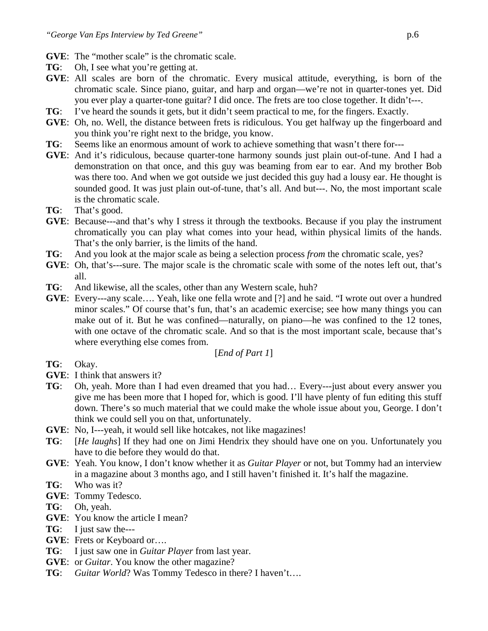- **GVE**: The "mother scale" is the chromatic scale.
- **TG**: Oh, I see what you're getting at.
- **GVE**: All scales are born of the chromatic. Every musical attitude, everything, is born of the chromatic scale. Since piano, guitar, and harp and organ—we're not in quarter-tones yet. Did you ever play a quarter-tone guitar? I did once. The frets are too close together. It didn't---.
- **TG**: I've heard the sounds it gets, but it didn't seem practical to me, for the fingers. Exactly.
- **GVE**: Oh, no. Well, the distance between frets is ridiculous. You get halfway up the fingerboard and you think you're right next to the bridge, you know.
- **TG**: Seems like an enormous amount of work to achieve something that wasn't there for---
- **GVE**: And it's ridiculous, because quarter-tone harmony sounds just plain out-of-tune. And I had a demonstration on that once, and this guy was beaming from ear to ear. And my brother Bob was there too. And when we got outside we just decided this guy had a lousy ear. He thought is sounded good. It was just plain out-of-tune, that's all. And but---. No, the most important scale is the chromatic scale.
- **TG**: That's good.
- **GVE**: Because---and that's why I stress it through the textbooks. Because if you play the instrument chromatically you can play what comes into your head, within physical limits of the hands. That's the only barrier, is the limits of the hand.
- **TG**: And you look at the major scale as being a selection process *from* the chromatic scale, yes?
- **GVE**: Oh, that's---sure. The major scale is the chromatic scale with some of the notes left out, that's all.
- **TG**: And likewise, all the scales, other than any Western scale, huh?
- **GVE**: Every---any scale…. Yeah, like one fella wrote and [?] and he said. "I wrote out over a hundred minor scales." Of course that's fun, that's an academic exercise; see how many things you can make out of it. But he was confined—naturally, on piano—he was confined to the 12 tones, with one octave of the chromatic scale. And so that is the most important scale, because that's where everything else comes from.

#### [*End of Part 1*]

- **TG**: Okay.
- **GVE**: I think that answers it?
- **TG**: Oh, yeah. More than I had even dreamed that you had… Every---just about every answer you give me has been more that I hoped for, which is good. I'll have plenty of fun editing this stuff down. There's so much material that we could make the whole issue about you, George. I don't think we could sell you on that, unfortunately.
- **GVE**: No, I---yeah, it would sell like hotcakes, not like magazines!
- **TG**: [*He laughs*] If they had one on Jimi Hendrix they should have one on you. Unfortunately you have to die before they would do that.
- **GVE**: Yeah. You know, I don't know whether it as *Guitar Player* or not, but Tommy had an interview in a magazine about 3 months ago, and I still haven't finished it. It's half the magazine.
- **TG**: Who was it?
- **GVE**: Tommy Tedesco.
- **TG**: Oh, yeah.
- **GVE**: You know the article I mean?
- **TG**: I just saw the---
- **GVE**: Frets or Keyboard or….
- **TG**: I just saw one in *Guitar Player* from last year.
- **GVE**: or *Guitar*. You know the other magazine?
- **TG**: *Guitar World*? Was Tommy Tedesco in there? I haven't….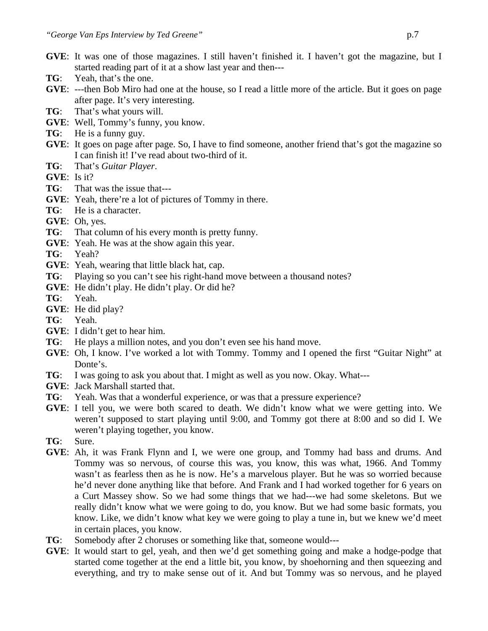- **GVE**: It was one of those magazines. I still haven't finished it. I haven't got the magazine, but I started reading part of it at a show last year and then---
- **TG**: Yeah, that's the one.
- **GVE**: ---then Bob Miro had one at the house, so I read a little more of the article. But it goes on page after page. It's very interesting.
- **TG**: That's what yours will.
- **GVE**: Well, Tommy's funny, you know.
- **TG**: He is a funny guy.
- **GVE**: It goes on page after page. So, I have to find someone, another friend that's got the magazine so I can finish it! I've read about two-third of it.
- **TG**: That's *Guitar Player*.
- **GVE**: Is it?
- **TG**: That was the issue that---
- **GVE**: Yeah, there're a lot of pictures of Tommy in there.
- **TG**: He is a character.
- **GVE**: Oh, yes.
- **TG**: That column of his every month is pretty funny.
- **GVE**: Yeah. He was at the show again this year.
- **TG**: Yeah?
- **GVE**: Yeah, wearing that little black hat, cap.
- **TG**: Playing so you can't see his right-hand move between a thousand notes?
- **GVE**: He didn't play. He didn't play. Or did he?
- **TG**: Yeah.
- **GVE**: He did play?
- **TG**: Yeah.
- **GVE**: I didn't get to hear him.
- **TG**: He plays a million notes, and you don't even see his hand move.
- **GVE**: Oh, I know. I've worked a lot with Tommy. Tommy and I opened the first "Guitar Night" at Donte's.
- **TG**: I was going to ask you about that. I might as well as you now. Okay. What---
- **GVE**: Jack Marshall started that.
- **TG**: Yeah. Was that a wonderful experience, or was that a pressure experience?
- **GVE**: I tell you, we were both scared to death. We didn't know what we were getting into. We weren't supposed to start playing until 9:00, and Tommy got there at 8:00 and so did I. We weren't playing together, you know.
- **TG**: Sure.
- **GVE**: Ah, it was Frank Flynn and I, we were one group, and Tommy had bass and drums. And Tommy was so nervous, of course this was, you know, this was what, 1966. And Tommy wasn't as fearless then as he is now. He's a marvelous player. But he was so worried because he'd never done anything like that before. And Frank and I had worked together for 6 years on a Curt Massey show. So we had some things that we had---we had some skeletons. But we really didn't know what we were going to do, you know. But we had some basic formats, you know. Like, we didn't know what key we were going to play a tune in, but we knew we'd meet in certain places, you know.
- **TG**: Somebody after 2 choruses or something like that, someone would---
- **GVE**: It would start to gel, yeah, and then we'd get something going and make a hodge-podge that started come together at the end a little bit, you know, by shoehorning and then squeezing and everything, and try to make sense out of it. And but Tommy was so nervous, and he played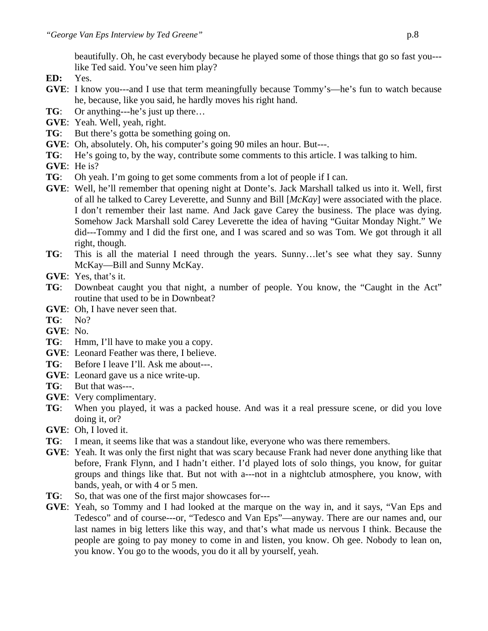beautifully. Oh, he cast everybody because he played some of those things that go so fast you-- like Ted said. You've seen him play?

- **ED:** Yes.
- **GVE**: I know you---and I use that term meaningfully because Tommy's—he's fun to watch because he, because, like you said, he hardly moves his right hand.
- **TG**: Or anything---he's just up there…
- **GVE**: Yeah. Well, yeah, right.
- **TG**: But there's gotta be something going on.
- **GVE**: Oh, absolutely. Oh, his computer's going 90 miles an hour. But---.
- **TG**: He's going to, by the way, contribute some comments to this article. I was talking to him.
- **GVE**: He is?
- **TG**: Oh yeah. I'm going to get some comments from a lot of people if I can.
- **GVE**: Well, he'll remember that opening night at Donte's. Jack Marshall talked us into it. Well, first of all he talked to Carey Leverette, and Sunny and Bill [*McKay*] were associated with the place. I don't remember their last name. And Jack gave Carey the business. The place was dying. Somehow Jack Marshall sold Carey Leverette the idea of having "Guitar Monday Night." We did---Tommy and I did the first one, and I was scared and so was Tom. We got through it all right, though.
- **TG**: This is all the material I need through the years. Sunny…let's see what they say. Sunny McKay—Bill and Sunny McKay.
- **GVE**: Yes, that's it.
- **TG**: Downbeat caught you that night, a number of people. You know, the "Caught in the Act" routine that used to be in Downbeat?
- **GVE**: Oh, I have never seen that.
- **TG**: No?
- **GVE**: No.
- **TG**: Hmm, I'll have to make you a copy.
- **GVE**: Leonard Feather was there, I believe.
- **TG**: Before I leave I'll. Ask me about---.
- **GVE**: Leonard gave us a nice write-up.
- **TG**: But that was---.
- **GVE**: Very complimentary.
- **TG**: When you played, it was a packed house. And was it a real pressure scene, or did you love doing it, or?
- **GVE**: Oh, I loved it.
- **TG**: I mean, it seems like that was a standout like, everyone who was there remembers.
- **GVE**: Yeah. It was only the first night that was scary because Frank had never done anything like that before, Frank Flynn, and I hadn't either. I'd played lots of solo things, you know, for guitar groups and things like that. But not with a---not in a nightclub atmosphere, you know, with bands, yeah, or with 4 or 5 men.
- **TG**: So, that was one of the first major showcases for---
- **GVE**: Yeah, so Tommy and I had looked at the marque on the way in, and it says, "Van Eps and Tedesco" and of course---or, "Tedesco and Van Eps"—anyway. There are our names and, our last names in big letters like this way, and that's what made us nervous I think. Because the people are going to pay money to come in and listen, you know. Oh gee. Nobody to lean on, you know. You go to the woods, you do it all by yourself, yeah.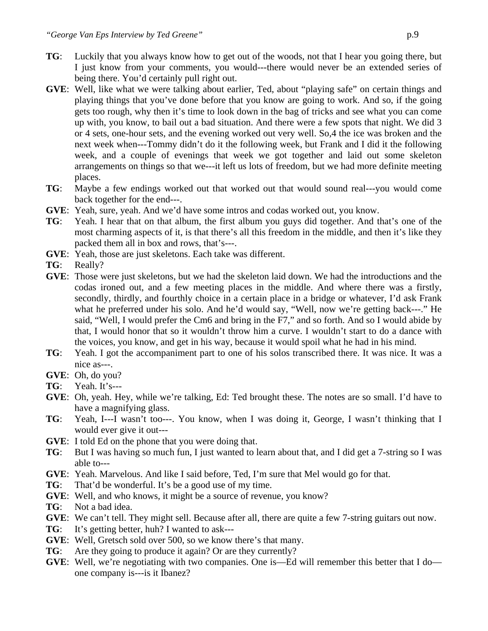- **TG**: Luckily that you always know how to get out of the woods, not that I hear you going there, but I just know from your comments, you would---there would never be an extended series of being there. You'd certainly pull right out.
- **GVE**: Well, like what we were talking about earlier, Ted, about "playing safe" on certain things and playing things that you've done before that you know are going to work. And so, if the going gets too rough, why then it's time to look down in the bag of tricks and see what you can come up with, you know, to bail out a bad situation. And there were a few spots that night. We did 3 or 4 sets, one-hour sets, and the evening worked out very well. So,4 the ice was broken and the next week when---Tommy didn't do it the following week, but Frank and I did it the following week, and a couple of evenings that week we got together and laid out some skeleton arrangements on things so that we---it left us lots of freedom, but we had more definite meeting places.
- **TG**: Maybe a few endings worked out that worked out that would sound real---you would come back together for the end---.
- **GVE**: Yeah, sure, yeah. And we'd have some intros and codas worked out, you know.
- **TG**: Yeah. I hear that on that album, the first album you guys did together. And that's one of the most charming aspects of it, is that there's all this freedom in the middle, and then it's like they packed them all in box and rows, that's---.
- **GVE**: Yeah, those are just skeletons. Each take was different.
- **TG**: Really?
- **GVE**: Those were just skeletons, but we had the skeleton laid down. We had the introductions and the codas ironed out, and a few meeting places in the middle. And where there was a firstly, secondly, thirdly, and fourthly choice in a certain place in a bridge or whatever, I'd ask Frank what he preferred under his solo. And he'd would say, "Well, now we're getting back---." He said, "Well, I would prefer the Cm6 and bring in the F7," and so forth. And so I would abide by that, I would honor that so it wouldn't throw him a curve. I wouldn't start to do a dance with the voices, you know, and get in his way, because it would spoil what he had in his mind.
- **TG**: Yeah. I got the accompaniment part to one of his solos transcribed there. It was nice. It was a nice as---.
- **GVE**: Oh, do you?
- **TG**: Yeah. It's---
- **GVE**: Oh, yeah. Hey, while we're talking, Ed: Ted brought these. The notes are so small. I'd have to have a magnifying glass.
- **TG**: Yeah, I---I wasn't too---. You know, when I was doing it, George, I wasn't thinking that I would ever give it out---
- **GVE**: I told Ed on the phone that you were doing that.
- **TG**: But I was having so much fun, I just wanted to learn about that, and I did get a 7-string so I was able to---
- **GVE**: Yeah. Marvelous. And like I said before, Ted, I'm sure that Mel would go for that.
- **TG**: That'd be wonderful. It's be a good use of my time.
- **GVE**: Well, and who knows, it might be a source of revenue, you know?
- **TG**: Not a bad idea.
- **GVE**: We can't tell. They might sell. Because after all, there are quite a few 7-string guitars out now.
- **TG**: It's getting better, huh? I wanted to ask---
- **GVE**: Well, Gretsch sold over 500, so we know there's that many.
- **TG**: Are they going to produce it again? Or are they currently?
- **GVE**: Well, we're negotiating with two companies. One is—Ed will remember this better that I do one company is---is it Ibanez?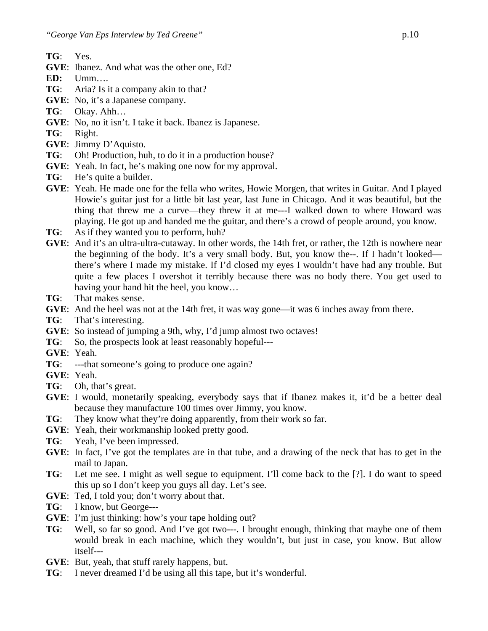- **TG**: Yes.
- **GVE**: Ibanez. And what was the other one, Ed?
- **ED:** Umm….
- **TG**: Aria? Is it a company akin to that?
- **GVE**: No, it's a Japanese company.
- **TG**: Okay. Ahh…
- **GVE**: No, no it isn't. I take it back. Ibanez is Japanese.
- **TG**: Right.
- **GVE**: Jimmy D'Aquisto.
- **TG**: Oh! Production, huh, to do it in a production house?
- **GVE**: Yeah. In fact, he's making one now for my approval.
- **TG**: He's quite a builder.
- **GVE**: Yeah. He made one for the fella who writes, Howie Morgen, that writes in Guitar. And I played Howie's guitar just for a little bit last year, last June in Chicago. And it was beautiful, but the thing that threw me a curve—they threw it at me---I walked down to where Howard was playing. He got up and handed me the guitar, and there's a crowd of people around, you know.
- **TG**: As if they wanted you to perform, huh?
- **GVE**: And it's an ultra-ultra-cutaway. In other words, the 14th fret, or rather, the 12th is nowhere near the beginning of the body. It's a very small body. But, you know the--. If I hadn't looked there's where I made my mistake. If I'd closed my eyes I wouldn't have had any trouble. But quite a few places I overshot it terribly because there was no body there. You get used to having your hand hit the heel, you know…
- **TG**: That makes sense.
- **GVE**: And the heel was not at the 14th fret, it was way gone—it was 6 inches away from there.
- **TG**: That's interesting.
- **GVE**: So instead of jumping a 9th, why, I'd jump almost two octaves!
- **TG**: So, the prospects look at least reasonably hopeful---
- **GVE**: Yeah.
- **TG**: ---that someone's going to produce one again?
- **GVE**: Yeah.
- **TG**: Oh, that's great.
- **GVE**: I would, monetarily speaking, everybody says that if Ibanez makes it, it'd be a better deal because they manufacture 100 times over Jimmy, you know.
- **TG**: They know what they're doing apparently, from their work so far.
- **GVE**: Yeah, their workmanship looked pretty good.
- **TG**: Yeah, I've been impressed.
- **GVE**: In fact, I've got the templates are in that tube, and a drawing of the neck that has to get in the mail to Japan.
- **TG**: Let me see. I might as well segue to equipment. I'll come back to the [?]. I do want to speed this up so I don't keep you guys all day. Let's see.
- **GVE**: Ted, I told you; don't worry about that.
- **TG**: I know, but George---
- **GVE**: I'm just thinking: how's your tape holding out?
- **TG**: Well, so far so good. And I've got two---. I brought enough, thinking that maybe one of them would break in each machine, which they wouldn't, but just in case, you know. But allow itself---
- **GVE**: But, yeah, that stuff rarely happens, but.
- **TG**: I never dreamed I'd be using all this tape, but it's wonderful.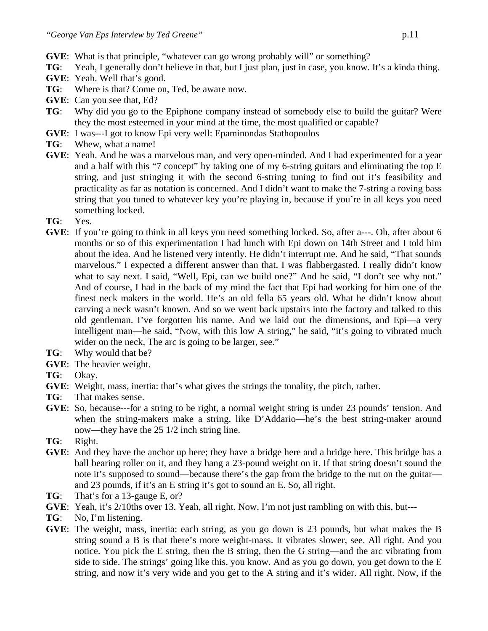- **GVE**: What is that principle, "whatever can go wrong probably will" or something?
- **TG**: Yeah, I generally don't believe in that, but I just plan, just in case, you know. It's a kinda thing.
- **GVE**: Yeah. Well that's good.
- **TG**: Where is that? Come on, Ted, be aware now.
- **GVE**: Can you see that, Ed?
- **TG**: Why did you go to the Epiphone company instead of somebody else to build the guitar? Were they the most esteemed in your mind at the time, the most qualified or capable?
- **GVE**: I was---I got to know Epi very well: Epaminondas Stathopoulos
- **TG**: Whew, what a name!
- **GVE**: Yeah. And he was a marvelous man, and very open-minded. And I had experimented for a year and a half with this "7 concept" by taking one of my 6-string guitars and eliminating the top E string, and just stringing it with the second 6-string tuning to find out it's feasibility and practicality as far as notation is concerned. And I didn't want to make the 7-string a roving bass string that you tuned to whatever key you're playing in, because if you're in all keys you need something locked.
- **TG**: Yes.
- **GVE:** If you're going to think in all keys you need something locked. So, after a---. Oh, after about 6 months or so of this experimentation I had lunch with Epi down on 14th Street and I told him about the idea. And he listened very intently. He didn't interrupt me. And he said, "That sounds marvelous." I expected a different answer than that. I was flabbergasted. I really didn't know what to say next. I said, "Well, Epi, can we build one?" And he said, "I don't see why not." And of course, I had in the back of my mind the fact that Epi had working for him one of the finest neck makers in the world. He's an old fella 65 years old. What he didn't know about carving a neck wasn't known. And so we went back upstairs into the factory and talked to this old gentleman. I've forgotten his name. And we laid out the dimensions, and Epi—a very intelligent man—he said, "Now, with this low A string," he said, "it's going to vibrated much wider on the neck. The arc is going to be larger, see."
- **TG**: Why would that be?
- **GVE**: The heavier weight.
- **TG**: Okay.
- **GVE**: Weight, mass, inertia: that's what gives the strings the tonality, the pitch, rather.
- **TG**: That makes sense.
- **GVE**: So, because---for a string to be right, a normal weight string is under 23 pounds' tension. And when the string-makers make a string, like D'Addario—he's the best string-maker around now—they have the 25 1/2 inch string line.
- **TG**: Right.
- **GVE**: And they have the anchor up here; they have a bridge here and a bridge here. This bridge has a ball bearing roller on it, and they hang a 23-pound weight on it. If that string doesn't sound the note it's supposed to sound—because there's the gap from the bridge to the nut on the guitar and 23 pounds, if it's an E string it's got to sound an E. So, all right.
- **TG**: That's for a 13-gauge E, or?
- **GVE**: Yeah, it's 2/10ths over 13. Yeah, all right. Now, I'm not just rambling on with this, but---
- **TG**: No, I'm listening.
- **GVE**: The weight, mass, inertia: each string, as you go down is 23 pounds, but what makes the B string sound a B is that there's more weight-mass. It vibrates slower, see. All right. And you notice. You pick the E string, then the B string, then the G string—and the arc vibrating from side to side. The strings' going like this, you know. And as you go down, you get down to the E string, and now it's very wide and you get to the A string and it's wider. All right. Now, if the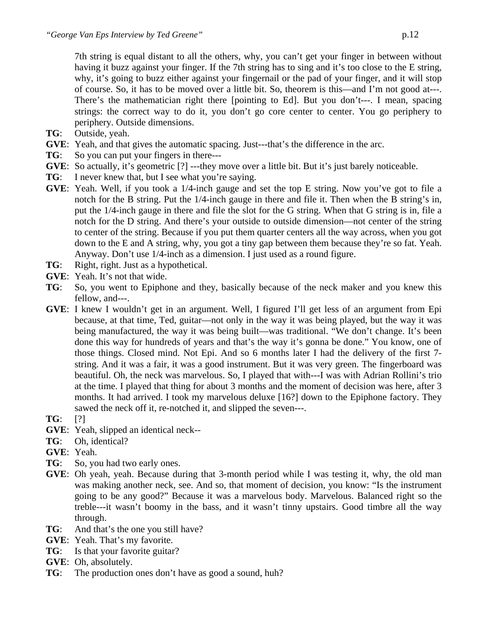7th string is equal distant to all the others, why, you can't get your finger in between without having it buzz against your finger. If the 7th string has to sing and it's too close to the E string, why, it's going to buzz either against your fingernail or the pad of your finger, and it will stop of course. So, it has to be moved over a little bit. So, theorem is this—and I'm not good at---. There's the mathematician right there [pointing to Ed]. But you don't---. I mean, spacing strings: the correct way to do it, you don't go core center to center. You go periphery to periphery. Outside dimensions.

- **TG**: Outside, yeah.
- **GVE**: Yeah, and that gives the automatic spacing. Just---that's the difference in the arc.
- **TG**: So you can put your fingers in there---
- **GVE:** So actually, it's geometric [?] ---they move over a little bit. But it's just barely noticeable.
- **TG**: I never knew that, but I see what you're saying.
- **GVE**: Yeah. Well, if you took a 1/4-inch gauge and set the top E string. Now you've got to file a notch for the B string. Put the 1/4-inch gauge in there and file it. Then when the B string's in, put the 1/4-inch gauge in there and file the slot for the G string. When that G string is in, file a notch for the D string. And there's your outside to outside dimension—not center of the string to center of the string. Because if you put them quarter centers all the way across, when you got down to the E and A string, why, you got a tiny gap between them because they're so fat. Yeah. Anyway. Don't use 1/4-inch as a dimension. I just used as a round figure.
- **TG**: Right, right. Just as a hypothetical.
- **GVE**: Yeah. It's not that wide.
- **TG**: So, you went to Epiphone and they, basically because of the neck maker and you knew this fellow, and---.
- **GVE**: I knew I wouldn't get in an argument. Well, I figured I'll get less of an argument from Epi because, at that time, Ted, guitar—not only in the way it was being played, but the way it was being manufactured, the way it was being built—was traditional. "We don't change. It's been done this way for hundreds of years and that's the way it's gonna be done." You know, one of those things. Closed mind. Not Epi. And so 6 months later I had the delivery of the first 7 string. And it was a fair, it was a good instrument. But it was very green. The fingerboard was beautiful. Oh, the neck was marvelous. So, I played that with---I was with Adrian Rollini's trio at the time. I played that thing for about 3 months and the moment of decision was here, after 3 months. It had arrived. I took my marvelous deluxe [16?] down to the Epiphone factory. They sawed the neck off it, re-notched it, and slipped the seven---.
- **TG**: [?]
- **GVE**: Yeah, slipped an identical neck--
- **TG**: Oh, identical?
- **GVE**: Yeah.
- **TG**: So, you had two early ones.
- **GVE**: Oh yeah, yeah. Because during that 3-month period while I was testing it, why, the old man was making another neck, see. And so, that moment of decision, you know: "Is the instrument going to be any good?" Because it was a marvelous body. Marvelous. Balanced right so the treble---it wasn't boomy in the bass, and it wasn't tinny upstairs. Good timbre all the way through.
- **TG**: And that's the one you still have?
- **GVE**: Yeah. That's my favorite.
- **TG**: Is that your favorite guitar?
- **GVE**: Oh, absolutely.
- **TG**: The production ones don't have as good a sound, huh?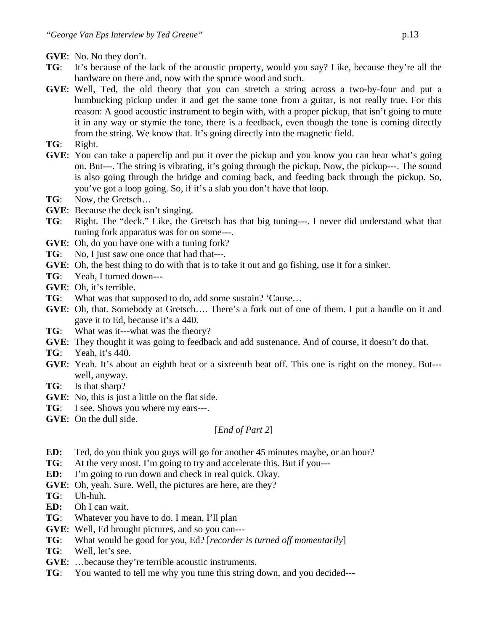- **GVE**: No. No they don't.
- **TG**: It's because of the lack of the acoustic property, would you say? Like, because they're all the hardware on there and, now with the spruce wood and such.
- **GVE**: Well, Ted, the old theory that you can stretch a string across a two-by-four and put a humbucking pickup under it and get the same tone from a guitar, is not really true. For this reason: A good acoustic instrument to begin with, with a proper pickup, that isn't going to mute it in any way or stymie the tone, there is a feedback, even though the tone is coming directly from the string. We know that. It's going directly into the magnetic field.
- **TG**: Right.
- **GVE**: You can take a paperclip and put it over the pickup and you know you can hear what's going on. But---. The string is vibrating, it's going through the pickup. Now, the pickup---. The sound is also going through the bridge and coming back, and feeding back through the pickup. So, you've got a loop going. So, if it's a slab you don't have that loop.
- **TG**: Now, the Gretsch…
- **GVE**: Because the deck isn't singing.
- **TG**: Right. The "deck." Like, the Gretsch has that big tuning---. I never did understand what that tuning fork apparatus was for on some---.
- **GVE**: Oh, do you have one with a tuning fork?
- **TG**: No, I just saw one once that had that---.
- **GVE**: Oh, the best thing to do with that is to take it out and go fishing, use it for a sinker.
- **TG**: Yeah, I turned down---
- **GVE**: Oh, it's terrible.
- **TG**: What was that supposed to do, add some sustain? 'Cause…
- **GVE**: Oh, that. Somebody at Gretsch…. There's a fork out of one of them. I put a handle on it and gave it to Ed, because it's a 440.
- **TG**: What was it---what was the theory?
- **GVE**: They thought it was going to feedback and add sustenance. And of course, it doesn't do that.
- **TG**: Yeah, it's 440.
- **GVE**: Yeah. It's about an eighth beat or a sixteenth beat off. This one is right on the money. But-- well, anyway.
- **TG**: Is that sharp?
- **GVE**: No, this is just a little on the flat side.
- **TG**: I see. Shows you where my ears---.
- **GVE**: On the dull side.

#### [*End of Part 2*]

- **ED:** Ted, do you think you guys will go for another 45 minutes maybe, or an hour?
- **TG**: At the very most. I'm going to try and accelerate this. But if you---
- **ED:** I'm going to run down and check in real quick. Okay.
- **GVE**: Oh, yeah. Sure. Well, the pictures are here, are they?
- **TG**: Uh-huh.
- **ED:** Oh I can wait.
- **TG**: Whatever you have to do. I mean, I'll plan
- **GVE**: Well, Ed brought pictures, and so you can---
- **TG**: What would be good for you, Ed? [*recorder is turned off momentarily*]
- **TG**: Well, let's see.
- **GVE**: …because they're terrible acoustic instruments.
- **TG**: You wanted to tell me why you tune this string down, and you decided---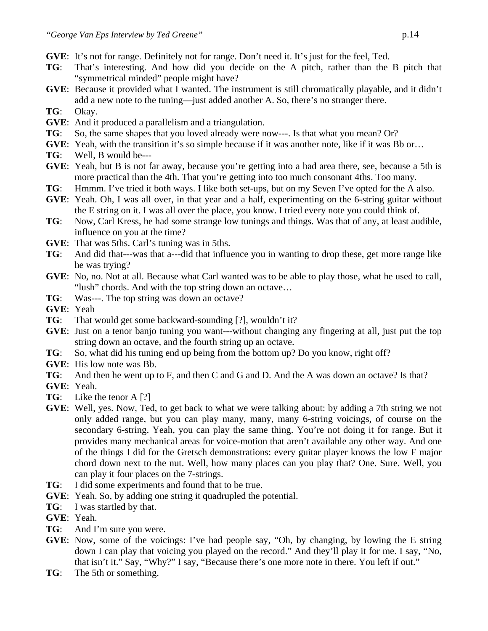- **GVE**: It's not for range. Definitely not for range. Don't need it. It's just for the feel, Ted.
- **TG**: That's interesting. And how did you decide on the A pitch, rather than the B pitch that "symmetrical minded" people might have?
- **GVE**: Because it provided what I wanted. The instrument is still chromatically playable, and it didn't add a new note to the tuning—just added another A. So, there's no stranger there.
- **TG**: Okay.
- **GVE**: And it produced a parallelism and a triangulation.
- **TG**: So, the same shapes that you loved already were now---. Is that what you mean? Or?
- **GVE:** Yeah, with the transition it's so simple because if it was another note, like if it was Bb or...
- **TG**: Well, B would be---
- **GVE**: Yeah, but B is not far away, because you're getting into a bad area there, see, because a 5th is more practical than the 4th. That you're getting into too much consonant 4ths. Too many.
- **TG**: Hmmm. I've tried it both ways. I like both set-ups, but on my Seven I've opted for the A also.
- **GVE**: Yeah. Oh, I was all over, in that year and a half, experimenting on the 6-string guitar without the E string on it. I was all over the place, you know. I tried every note you could think of.
- **TG**: Now, Carl Kress, he had some strange low tunings and things. Was that of any, at least audible, influence on you at the time?
- **GVE**: That was 5ths. Carl's tuning was in 5ths.
- **TG**: And did that---was that a---did that influence you in wanting to drop these, get more range like he was trying?
- **GVE**: No, no. Not at all. Because what Carl wanted was to be able to play those, what he used to call, "lush" chords. And with the top string down an octave…
- **TG**: Was---. The top string was down an octave?
- **GVE**: Yeah
- **TG**: That would get some backward-sounding [?], wouldn't it?
- **GVE**: Just on a tenor banjo tuning you want---without changing any fingering at all, just put the top string down an octave, and the fourth string up an octave.
- **TG**: So, what did his tuning end up being from the bottom up? Do you know, right off?
- **GVE**: His low note was Bb.
- **TG**: And then he went up to F, and then C and G and D. And the A was down an octave? Is that?
- **GVE**: Yeah.
- **TG**: Like the tenor A [?]
- **GVE**: Well, yes. Now, Ted, to get back to what we were talking about: by adding a 7th string we not only added range, but you can play many, many, many 6-string voicings, of course on the secondary 6-string. Yeah, you can play the same thing. You're not doing it for range. But it provides many mechanical areas for voice-motion that aren't available any other way. And one of the things I did for the Gretsch demonstrations: every guitar player knows the low F major chord down next to the nut. Well, how many places can you play that? One. Sure. Well, you can play it four places on the 7-strings.
- **TG**: I did some experiments and found that to be true.
- **GVE**: Yeah. So, by adding one string it quadrupled the potential.
- **TG**: I was startled by that.
- **GVE**: Yeah.
- **TG**: And I'm sure you were.
- **GVE**: Now, some of the voicings: I've had people say, "Oh, by changing, by lowing the E string down I can play that voicing you played on the record." And they'll play it for me. I say, "No, that isn't it." Say, "Why?" I say, "Because there's one more note in there. You left if out."
- **TG**: The 5th or something.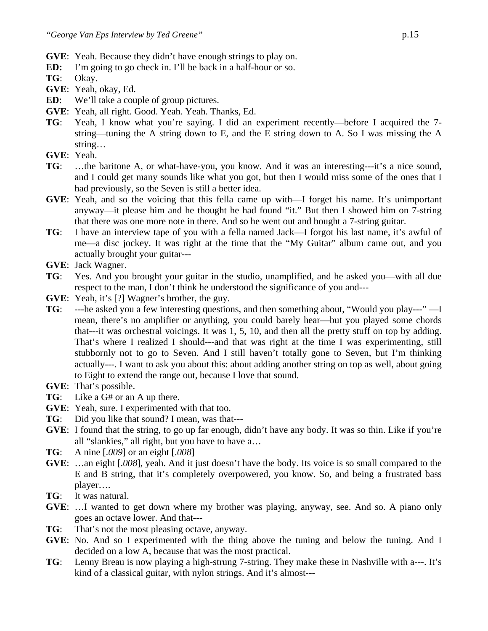- **GVE**: Yeah. Because they didn't have enough strings to play on.
- **ED:** I'm going to go check in. I'll be back in a half-hour or so.
- **TG**: Okay.
- **GVE**: Yeah, okay, Ed.
- **ED**: We'll take a couple of group pictures.
- **GVE**: Yeah, all right. Good. Yeah. Yeah. Thanks, Ed.
- **TG**: Yeah, I know what you're saying. I did an experiment recently—before I acquired the 7 string—tuning the A string down to E, and the E string down to A. So I was missing the A string…
- **GVE**: Yeah.
- **TG**: …the baritone A, or what-have-you, you know. And it was an interesting---it's a nice sound, and I could get many sounds like what you got, but then I would miss some of the ones that I had previously, so the Seven is still a better idea.
- **GVE**: Yeah, and so the voicing that this fella came up with—I forget his name. It's unimportant anyway—it please him and he thought he had found "it." But then I showed him on 7-string that there was one more note in there. And so he went out and bought a 7-string guitar.
- **TG**: I have an interview tape of you with a fella named Jack—I forgot his last name, it's awful of me—a disc jockey. It was right at the time that the "My Guitar" album came out, and you actually brought your guitar---
- **GVE**: Jack Wagner.
- **TG**: Yes. And you brought your guitar in the studio, unamplified, and he asked you—with all due respect to the man, I don't think he understood the significance of you and---
- **GVE**: Yeah, it's [?] Wagner's brother, the guy.
- **TG**: ---he asked you a few interesting questions, and then something about, "Would you play---" —I mean, there's no amplifier or anything, you could barely hear—but you played some chords that---it was orchestral voicings. It was 1, 5, 10, and then all the pretty stuff on top by adding. That's where I realized I should---and that was right at the time I was experimenting, still stubbornly not to go to Seven. And I still haven't totally gone to Seven, but I'm thinking actually---. I want to ask you about this: about adding another string on top as well, about going to Eight to extend the range out, because I love that sound.
- **GVE**: That's possible.
- **TG**: Like a G# or an A up there.
- **GVE**: Yeah, sure. I experimented with that too.
- **TG**: Did you like that sound? I mean, was that---
- **GVE**: I found that the string, to go up far enough, didn't have any body. It was so thin. Like if you're all "slankies," all right, but you have to have a…
- **TG**: A nine [.*009*] or an eight [.*008*]
- **GVE**: …an eight [.*008*], yeah. And it just doesn't have the body. Its voice is so small compared to the E and B string, that it's completely overpowered, you know. So, and being a frustrated bass player….
- **TG**: It was natural.
- **GVE**: …I wanted to get down where my brother was playing, anyway, see. And so. A piano only goes an octave lower. And that---
- **TG**: That's not the most pleasing octave, anyway.
- **GVE**: No. And so I experimented with the thing above the tuning and below the tuning. And I decided on a low A, because that was the most practical.
- **TG**: Lenny Breau is now playing a high-strung 7-string. They make these in Nashville with a---. It's kind of a classical guitar, with nylon strings. And it's almost---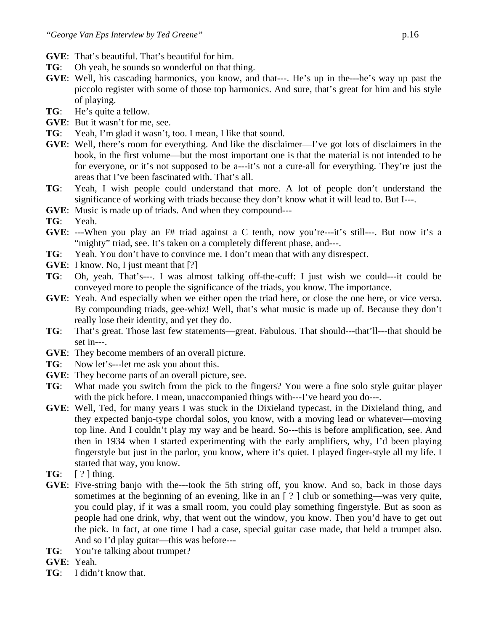- **GVE**: That's beautiful. That's beautiful for him.
- **TG**: Oh yeah, he sounds so wonderful on that thing.
- **GVE**: Well, his cascading harmonics, you know, and that---. He's up in the---he's way up past the piccolo register with some of those top harmonics. And sure, that's great for him and his style of playing.
- **TG**: He's quite a fellow.
- **GVE**: But it wasn't for me, see.
- **TG**: Yeah, I'm glad it wasn't, too. I mean, I like that sound.
- **GVE**: Well, there's room for everything. And like the disclaimer—I've got lots of disclaimers in the book, in the first volume—but the most important one is that the material is not intended to be for everyone, or it's not supposed to be a---it's not a cure-all for everything. They're just the areas that I've been fascinated with. That's all.
- **TG**: Yeah, I wish people could understand that more. A lot of people don't understand the significance of working with triads because they don't know what it will lead to. But I---.
- **GVE**: Music is made up of triads. And when they compound---
- **TG**: Yeah.
- **GVE**: ---When you play an F# triad against a C tenth, now you're---it's still---. But now it's a "mighty" triad, see. It's taken on a completely different phase, and---.
- **TG**: Yeah. You don't have to convince me. I don't mean that with any disrespect.
- **GVE**: I know. No, I just meant that [?]
- **TG**: Oh, yeah. That's---. I was almost talking off-the-cuff: I just wish we could---it could be conveyed more to people the significance of the triads, you know. The importance.
- **GVE**: Yeah. And especially when we either open the triad here, or close the one here, or vice versa. By compounding triads, gee-whiz! Well, that's what music is made up of. Because they don't really lose their identity, and yet they do.
- **TG**: That's great. Those last few statements—great. Fabulous. That should---that'll---that should be set in---.
- **GVE**: They become members of an overall picture.
- **TG**: Now let's---let me ask you about this.
- **GVE**: They become parts of an overall picture, see.
- **TG**: What made you switch from the pick to the fingers? You were a fine solo style guitar player with the pick before. I mean, unaccompanied things with---I've heard you do---.
- **GVE**: Well, Ted, for many years I was stuck in the Dixieland typecast, in the Dixieland thing, and they expected banjo-type chordal solos, you know, with a moving lead or whatever—moving top line. And I couldn't play my way and be heard. So---this is before amplification, see. And then in 1934 when I started experimenting with the early amplifiers, why, I'd been playing fingerstyle but just in the parlor, you know, where it's quiet. I played finger-style all my life. I started that way, you know.
- **TG**:  $[ ? ]$  thing.
- **GVE**: Five-string banjo with the---took the 5th string off, you know. And so, back in those days sometimes at the beginning of an evening, like in an  $[ ? ]$  club or something—was very quite, you could play, if it was a small room, you could play something fingerstyle. But as soon as people had one drink, why, that went out the window, you know. Then you'd have to get out the pick. In fact, at one time I had a case, special guitar case made, that held a trumpet also. And so I'd play guitar—this was before---
- **TG**: You're talking about trumpet?
- **GVE**: Yeah.
- **TG**: I didn't know that.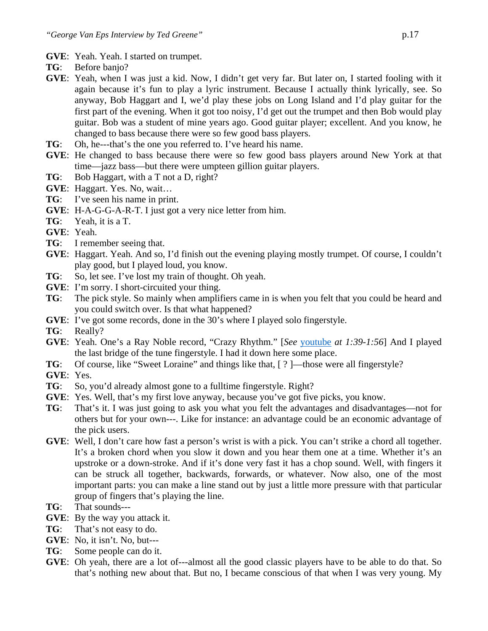- **GVE**: Yeah. Yeah. I started on trumpet.
- **TG**: Before banjo?
- **GVE**: Yeah, when I was just a kid. Now, I didn't get very far. But later on, I started fooling with it again because it's fun to play a lyric instrument. Because I actually think lyrically, see. So anyway, Bob Haggart and I, we'd play these jobs on Long Island and I'd play guitar for the first part of the evening. When it got too noisy, I'd get out the trumpet and then Bob would play guitar. Bob was a student of mine years ago. Good guitar player; excellent. And you know, he changed to bass because there were so few good bass players.
- **TG**: Oh, he---that's the one you referred to. I've heard his name.
- **GVE**: He changed to bass because there were so few good bass players around New York at that time—jazz bass—but there were umpteen gillion guitar players.
- **TG**: Bob Haggart, with a T not a D, right?
- **GVE**: Haggart. Yes. No, wait…
- **TG**: I've seen his name in print.
- **GVE**: H-A-G-G-A-R-T. I just got a very nice letter from him.
- **TG**: Yeah, it is a T.
- **GVE**: Yeah.
- **TG**: I remember seeing that.
- **GVE**: Haggart. Yeah. And so, I'd finish out the evening playing mostly trumpet. Of course, I couldn't play good, but I played loud, you know.
- **TG**: So, let see. I've lost my train of thought. Oh yeah.
- **GVE**: I'm sorry. I short-circuited your thing.
- **TG**: The pick style. So mainly when amplifiers came in is when you felt that you could be heard and you could switch over. Is that what happened?
- **GVE**: I've got some records, done in the 30's where I played solo fingerstyle.
- **TG**: Really?
- **GVE**: Yeah. One's a Ray Noble record, "Crazy Rhythm." [*See* [youtube](https://www.youtube.com/watch?v=GP1oQ3U5uhU) *at 1:39-1:56*] And I played the last bridge of the tune fingerstyle. I had it down here some place.
- **TG**: Of course, like "Sweet Loraine" and things like that, [ ? ]—those were all fingerstyle?
- **GVE**: Yes.
- **TG**: So, you'd already almost gone to a fulltime fingerstyle. Right?
- **GVE**: Yes. Well, that's my first love anyway, because you've got five picks, you know.
- **TG**: That's it. I was just going to ask you what you felt the advantages and disadvantages—not for others but for your own---. Like for instance: an advantage could be an economic advantage of the pick users.
- **GVE**: Well, I don't care how fast a person's wrist is with a pick. You can't strike a chord all together. It's a broken chord when you slow it down and you hear them one at a time. Whether it's an upstroke or a down-stroke. And if it's done very fast it has a chop sound. Well, with fingers it can be struck all together, backwards, forwards, or whatever. Now also, one of the most important parts: you can make a line stand out by just a little more pressure with that particular group of fingers that's playing the line.
- **TG**: That sounds---
- **GVE**: By the way you attack it.
- **TG**: That's not easy to do.
- **GVE**: No, it isn't. No, but---
- **TG**: Some people can do it.
- **GVE**: Oh yeah, there are a lot of---almost all the good classic players have to be able to do that. So that's nothing new about that. But no, I became conscious of that when I was very young. My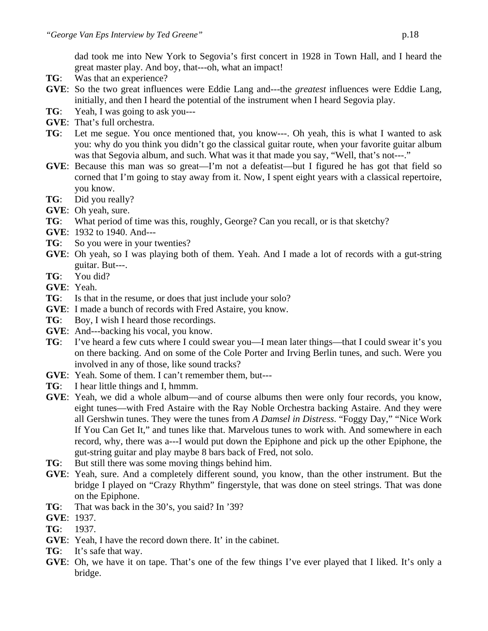dad took me into New York to Segovia's first concert in 1928 in Town Hall, and I heard the great master play. And boy, that---oh, what an impact!

- **TG**: Was that an experience?
- **GVE**: So the two great influences were Eddie Lang and---the *greatest* influences were Eddie Lang, initially, and then I heard the potential of the instrument when I heard Segovia play.
- **TG**: Yeah, I was going to ask you---
- **GVE**: That's full orchestra.
- **TG**: Let me segue. You once mentioned that, you know---. Oh yeah, this is what I wanted to ask you: why do you think you didn't go the classical guitar route, when your favorite guitar album was that Segovia album, and such. What was it that made you say, "Well, that's not---."
- **GVE**: Because this man was so great—I'm not a defeatist—but I figured he has got that field so corned that I'm going to stay away from it. Now, I spent eight years with a classical repertoire, you know.
- **TG**: Did you really?
- **GVE**: Oh yeah, sure.
- **TG**: What period of time was this, roughly, George? Can you recall, or is that sketchy?
- **GVE**: 1932 to 1940. And---
- **TG**: So you were in your twenties?
- **GVE**: Oh yeah, so I was playing both of them. Yeah. And I made a lot of records with a gut-string guitar. But---.
- **TG**: You did?
- **GVE**: Yeah.
- **TG**: Is that in the resume, or does that just include your solo?
- **GVE**: I made a bunch of records with Fred Astaire, you know.
- **TG**: Boy, I wish I heard those recordings.
- **GVE**: And---backing his vocal, you know.
- **TG**: I've heard a few cuts where I could swear you—I mean later things—that I could swear it's you on there backing. And on some of the Cole Porter and Irving Berlin tunes, and such. Were you involved in any of those, like sound tracks?
- **GVE**: Yeah. Some of them. I can't remember them, but---
- **TG**: I hear little things and I, hmmm.
- **GVE**: Yeah, we did a whole album—and of course albums then were only four records, you know, eight tunes—with Fred Astaire with the Ray Noble Orchestra backing Astaire. And they were all Gershwin tunes. They were the tunes from *A Damsel in Distress*. "Foggy Day," "Nice Work If You Can Get It," and tunes like that. Marvelous tunes to work with. And somewhere in each record, why, there was a---I would put down the Epiphone and pick up the other Epiphone, the gut-string guitar and play maybe 8 bars back of Fred, not solo.
- **TG**: But still there was some moving things behind him.
- **GVE**: Yeah, sure. And a completely different sound, you know, than the other instrument. But the bridge I played on "Crazy Rhythm" fingerstyle, that was done on steel strings. That was done on the Epiphone.
- **TG**: That was back in the 30's, you said? In '39?
- **GVE**: 1937.
- **TG**: 1937.
- **GVE**: Yeah, I have the record down there. It' in the cabinet.
- **TG**: It's safe that way.
- **GVE**: Oh, we have it on tape. That's one of the few things I've ever played that I liked. It's only a bridge.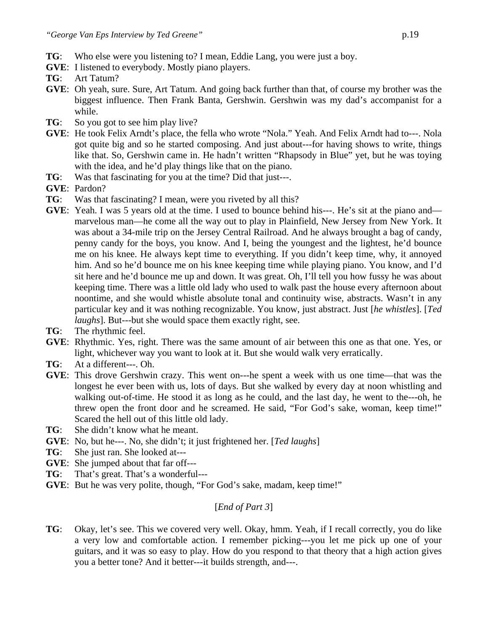- **TG**: Who else were you listening to? I mean, Eddie Lang, you were just a boy.
- **GVE**: I listened to everybody. Mostly piano players.
- **TG**: Art Tatum?
- **GVE**: Oh yeah, sure. Sure, Art Tatum. And going back further than that, of course my brother was the biggest influence. Then Frank Banta, Gershwin. Gershwin was my dad's accompanist for a while.
- **TG**: So you got to see him play live?
- **GVE**: He took Felix Arndt's place, the fella who wrote "Nola." Yeah. And Felix Arndt had to---. Nola got quite big and so he started composing. And just about---for having shows to write, things like that. So, Gershwin came in. He hadn't written "Rhapsody in Blue" yet, but he was toying with the idea, and he'd play things like that on the piano.
- **TG**: Was that fascinating for you at the time? Did that just---.
- **GVE**: Pardon?
- **TG**: Was that fascinating? I mean, were you riveted by all this?
- **GVE:** Yeah. I was 5 years old at the time. I used to bounce behind his---. He's sit at the piano and marvelous man—he come all the way out to play in Plainfield, New Jersey from New York. It was about a 34-mile trip on the Jersey Central Railroad. And he always brought a bag of candy, penny candy for the boys, you know. And I, being the youngest and the lightest, he'd bounce me on his knee. He always kept time to everything. If you didn't keep time, why, it annoyed him. And so he'd bounce me on his knee keeping time while playing piano. You know, and I'd sit here and he'd bounce me up and down. It was great. Oh, I'll tell you how fussy he was about keeping time. There was a little old lady who used to walk past the house every afternoon about noontime, and she would whistle absolute tonal and continuity wise, abstracts. Wasn't in any particular key and it was nothing recognizable. You know, just abstract. Just [*he whistles*]. [*Ted laughs*]. But---but she would space them exactly right, see.
- **TG**: The rhythmic feel.
- **GVE**: Rhythmic. Yes, right. There was the same amount of air between this one as that one. Yes, or light, whichever way you want to look at it. But she would walk very erratically.
- **TG**: At a different---. Oh.
- **GVE**: This drove Gershwin crazy. This went on---he spent a week with us one time—that was the longest he ever been with us, lots of days. But she walked by every day at noon whistling and walking out-of-time. He stood it as long as he could, and the last day, he went to the---oh, he threw open the front door and he screamed. He said, "For God's sake, woman, keep time!" Scared the hell out of this little old lady.
- **TG**: She didn't know what he meant.
- **GVE**: No, but he---. No, she didn't; it just frightened her. [*Ted laughs*]
- **TG**: She just ran. She looked at---
- **GVE**: She jumped about that far off---
- **TG**: That's great. That's a wonderful---
- **GVE:** But he was very polite, though, "For God's sake, madam, keep time!"

# [*End of Part 3*]

**TG**: Okay, let's see. This we covered very well. Okay, hmm. Yeah, if I recall correctly, you do like a very low and comfortable action. I remember picking---you let me pick up one of your guitars, and it was so easy to play. How do you respond to that theory that a high action gives you a better tone? And it better---it builds strength, and---.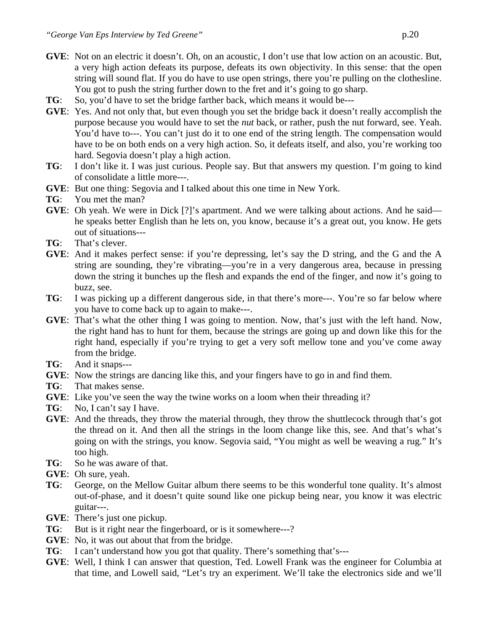- **GVE**: Not on an electric it doesn't. Oh, on an acoustic, I don't use that low action on an acoustic. But, a very high action defeats its purpose, defeats its own objectivity. In this sense: that the open string will sound flat. If you do have to use open strings, there you're pulling on the clothesline. You got to push the string further down to the fret and it's going to go sharp.
- **TG**: So, you'd have to set the bridge farther back, which means it would be---
- **GVE**: Yes. And not only that, but even though you set the bridge back it doesn't really accomplish the purpose because you would have to set the *nut* back, or rather, push the nut forward, see. Yeah. You'd have to---. You can't just do it to one end of the string length. The compensation would have to be on both ends on a very high action. So, it defeats itself, and also, you're working too hard. Segovia doesn't play a high action.
- **TG**: I don't like it. I was just curious. People say. But that answers my question. I'm going to kind of consolidate a little more---.
- **GVE**: But one thing: Segovia and I talked about this one time in New York.
- **TG**: You met the man?
- **GVE:** Oh yeah. We were in Dick [?]'s apartment. And we were talking about actions. And he said he speaks better English than he lets on, you know, because it's a great out, you know. He gets out of situations---
- **TG**: That's clever.
- **GVE**: And it makes perfect sense: if you're depressing, let's say the D string, and the G and the A string are sounding, they're vibrating—you're in a very dangerous area, because in pressing down the string it bunches up the flesh and expands the end of the finger, and now it's going to buzz, see.
- **TG**: I was picking up a different dangerous side, in that there's more---. You're so far below where you have to come back up to again to make---.
- **GVE**: That's what the other thing I was going to mention. Now, that's just with the left hand. Now, the right hand has to hunt for them, because the strings are going up and down like this for the right hand, especially if you're trying to get a very soft mellow tone and you've come away from the bridge.
- **TG**: And it snaps---
- **GVE**: Now the strings are dancing like this, and your fingers have to go in and find them.
- **TG**: That makes sense.
- **GVE**: Like you've seen the way the twine works on a loom when their threading it?
- **TG**: No, I can't say I have.
- **GVE**: And the threads, they throw the material through, they throw the shuttlecock through that's got the thread on it. And then all the strings in the loom change like this, see. And that's what's going on with the strings, you know. Segovia said, "You might as well be weaving a rug." It's too high.
- **TG**: So he was aware of that.
- **GVE**: Oh sure, yeah.
- **TG**: George, on the Mellow Guitar album there seems to be this wonderful tone quality. It's almost out-of-phase, and it doesn't quite sound like one pickup being near, you know it was electric guitar---.
- **GVE**: There's just one pickup.
- **TG**: But is it right near the fingerboard, or is it somewhere---?
- **GVE**: No, it was out about that from the bridge.
- **TG**: I can't understand how you got that quality. There's something that's---
- **GVE**: Well, I think I can answer that question, Ted. Lowell Frank was the engineer for Columbia at that time, and Lowell said, "Let's try an experiment. We'll take the electronics side and we'll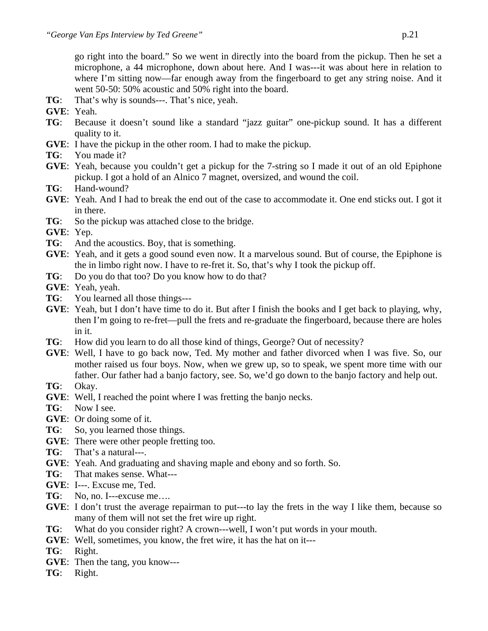- **TG**: That's why is sounds---. That's nice, yeah.
- **GVE**: Yeah.
- **TG**: Because it doesn't sound like a standard "jazz guitar" one-pickup sound. It has a different quality to it.
- **GVE**: I have the pickup in the other room. I had to make the pickup.
- **TG**: You made it?
- **GVE**: Yeah, because you couldn't get a pickup for the 7-string so I made it out of an old Epiphone pickup. I got a hold of an Alnico 7 magnet, oversized, and wound the coil.
- **TG**: Hand-wound?
- **GVE**: Yeah. And I had to break the end out of the case to accommodate it. One end sticks out. I got it in there.
- **TG**: So the pickup was attached close to the bridge.
- **GVE**: Yep.
- **TG**: And the acoustics. Boy, that is something.
- **GVE**: Yeah, and it gets a good sound even now. It a marvelous sound. But of course, the Epiphone is the in limbo right now. I have to re-fret it. So, that's why I took the pickup off.
- **TG**: Do you do that too? Do you know how to do that?
- **GVE**: Yeah, yeah.
- **TG**: You learned all those things---
- **GVE**: Yeah, but I don't have time to do it. But after I finish the books and I get back to playing, why, then I'm going to re-fret—pull the frets and re-graduate the fingerboard, because there are holes in it.
- **TG**: How did you learn to do all those kind of things, George? Out of necessity?
- **GVE**: Well, I have to go back now, Ted. My mother and father divorced when I was five. So, our mother raised us four boys. Now, when we grew up, so to speak, we spent more time with our father. Our father had a banjo factory, see. So, we'd go down to the banjo factory and help out.
- **TG**: Okay.
- **GVE**: Well, I reached the point where I was fretting the banjo necks.
- **TG**: Now I see.
- **GVE**: Or doing some of it.
- **TG**: So, you learned those things.
- **GVE**: There were other people fretting too.
- **TG**: That's a natural---.
- **GVE**: Yeah. And graduating and shaving maple and ebony and so forth. So.
- **TG**: That makes sense. What---
- **GVE**: I---. Excuse me, Ted.
- TG: No, no. I---excuse me....
- **GVE**: I don't trust the average repairman to put---to lay the frets in the way I like them, because so many of them will not set the fret wire up right.
- **TG**: What do you consider right? A crown---well, I won't put words in your mouth.
- **GVE**: Well, sometimes, you know, the fret wire, it has the hat on it---
- **TG**: Right.
- **GVE**: Then the tang, you know---
- **TG**: Right.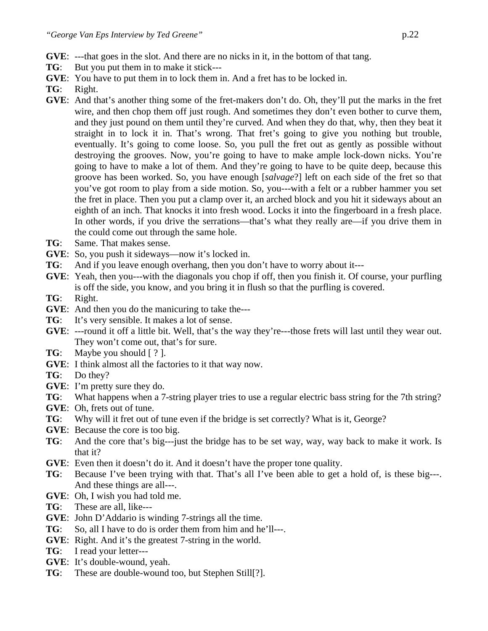- **GVE**: ---that goes in the slot. And there are no nicks in it, in the bottom of that tang.
- **TG**: But you put them in to make it stick---
- **GVE**: You have to put them in to lock them in. And a fret has to be locked in.
- **TG**: Right.
- **GVE**: And that's another thing some of the fret-makers don't do. Oh, they'll put the marks in the fret wire, and then chop them off just rough. And sometimes they don't even bother to curve them, and they just pound on them until they're curved. And when they do that, why, then they beat it straight in to lock it in. That's wrong. That fret's going to give you nothing but trouble, eventually. It's going to come loose. So, you pull the fret out as gently as possible without destroying the grooves. Now, you're going to have to make ample lock-down nicks. You're going to have to make a lot of them. And they're going to have to be quite deep, because this groove has been worked. So, you have enough [*salvage*?] left on each side of the fret so that you've got room to play from a side motion. So, you---with a felt or a rubber hammer you set the fret in place. Then you put a clamp over it, an arched block and you hit it sideways about an eighth of an inch. That knocks it into fresh wood. Locks it into the fingerboard in a fresh place. In other words, if you drive the serrations—that's what they really are—if you drive them in the could come out through the same hole.
- **TG**: Same. That makes sense.
- **GVE**: So, you push it sideways—now it's locked in.
- **TG**: And if you leave enough overhang, then you don't have to worry about it---
- **GVE**: Yeah, then you---with the diagonals you chop if off, then you finish it. Of course, your purfling is off the side, you know, and you bring it in flush so that the purfling is covered.
- **TG**: Right.
- **GVE**: And then you do the manicuring to take the---
- **TG**: It's very sensible. It makes a lot of sense.
- **GVE**: ---round it off a little bit. Well, that's the way they're---those frets will last until they wear out. They won't come out, that's for sure.
- **TG**: Maybe you should [ ? ].
- **GVE**: I think almost all the factories to it that way now.
- **TG**: Do they?
- **GVE**: I'm pretty sure they do.
- **TG**: What happens when a 7-string player tries to use a regular electric bass string for the 7th string?
- **GVE**: Oh, frets out of tune.
- **TG**: Why will it fret out of tune even if the bridge is set correctly? What is it, George?
- **GVE**: Because the core is too big.
- **TG**: And the core that's big---just the bridge has to be set way, way, way back to make it work. Is that it?
- **GVE**: Even then it doesn't do it. And it doesn't have the proper tone quality.
- **TG**: Because I've been trying with that. That's all I've been able to get a hold of, is these big---. And these things are all---.
- **GVE**: Oh, I wish you had told me.
- **TG**: These are all, like---
- **GVE**: John D'Addario is winding 7-strings all the time.
- **TG**: So, all I have to do is order them from him and he'll---.
- **GVE**: Right. And it's the greatest 7-string in the world.
- **TG**: I read your letter---
- **GVE**: It's double-wound, yeah.
- **TG**: These are double-wound too, but Stephen Still[?].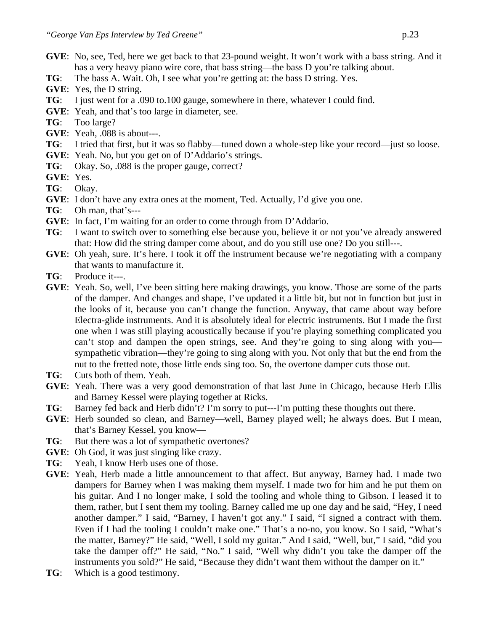- **GVE**: No, see, Ted, here we get back to that 23-pound weight. It won't work with a bass string. And it has a very heavy piano wire core, that bass string—the bass D you're talking about.
- **TG**: The bass A. Wait. Oh, I see what you're getting at: the bass D string. Yes.
- **GVE**: Yes, the D string.
- **TG**: I just went for a .090 to.100 gauge, somewhere in there, whatever I could find.
- **GVE**: Yeah, and that's too large in diameter, see.
- **TG**: Too large?
- **GVE**: Yeah, .088 is about---.
- **TG**: I tried that first, but it was so flabby—tuned down a whole-step like your record—just so loose.
- **GVE**: Yeah. No, but you get on of D'Addario's strings.
- **TG**: Okay. So, .088 is the proper gauge, correct?
- **GVE**: Yes.
- **TG**: Okay.
- **GVE**: I don't have any extra ones at the moment, Ted. Actually, I'd give you one.
- **TG**: Oh man, that's---
- **GVE**: In fact, I'm waiting for an order to come through from D'Addario.
- **TG**: I want to switch over to something else because you, believe it or not you've already answered that: How did the string damper come about, and do you still use one? Do you still---.
- **GVE:** Oh yeah, sure. It's here. I took it off the instrument because we're negotiating with a company that wants to manufacture it.
- **TG**: Produce it---.
- **GVE**: Yeah. So, well, I've been sitting here making drawings, you know. Those are some of the parts of the damper. And changes and shape, I've updated it a little bit, but not in function but just in the looks of it, because you can't change the function. Anyway, that came about way before Electra-glide instruments. And it is absolutely ideal for electric instruments. But I made the first one when I was still playing acoustically because if you're playing something complicated you can't stop and dampen the open strings, see. And they're going to sing along with you sympathetic vibration—they're going to sing along with you. Not only that but the end from the nut to the fretted note, those little ends sing too. So, the overtone damper cuts those out.
- **TG**: Cuts both of them. Yeah.
- **GVE**: Yeah. There was a very good demonstration of that last June in Chicago, because Herb Ellis and Barney Kessel were playing together at Ricks.
- **TG**: Barney fed back and Herb didn't? I'm sorry to put---I'm putting these thoughts out there.
- **GVE**: Herb sounded so clean, and Barney—well, Barney played well; he always does. But I mean, that's Barney Kessel, you know—
- **TG**: But there was a lot of sympathetic overtones?
- **GVE**: Oh God, it was just singing like crazy.
- **TG**: Yeah, I know Herb uses one of those.
- **GVE**: Yeah, Herb made a little announcement to that affect. But anyway, Barney had. I made two dampers for Barney when I was making them myself. I made two for him and he put them on his guitar. And I no longer make, I sold the tooling and whole thing to Gibson. I leased it to them, rather, but I sent them my tooling. Barney called me up one day and he said, "Hey, I need another damper." I said, "Barney, I haven't got any." I said, "I signed a contract with them. Even if I had the tooling I couldn't make one." That's a no-no, you know. So I said, "What's the matter, Barney?" He said, "Well, I sold my guitar." And I said, "Well, but," I said, "did you take the damper off?" He said, "No." I said, "Well why didn't you take the damper off the instruments you sold?" He said, "Because they didn't want them without the damper on it."
- **TG**: Which is a good testimony.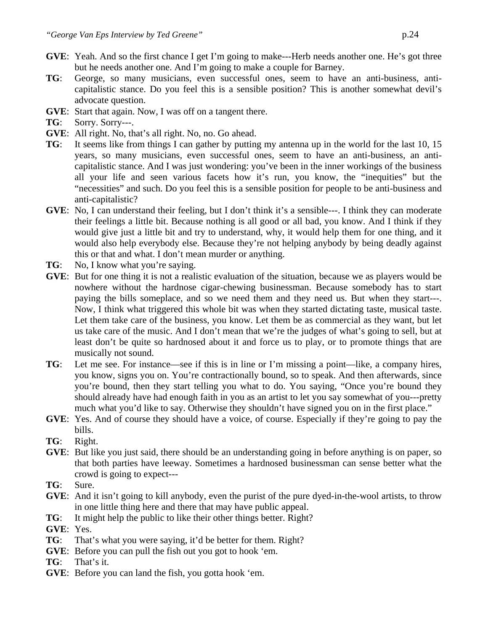- **GVE**: Yeah. And so the first chance I get I'm going to make---Herb needs another one. He's got three but he needs another one. And I'm going to make a couple for Barney.
- **TG**: George, so many musicians, even successful ones, seem to have an anti-business, anticapitalistic stance. Do you feel this is a sensible position? This is another somewhat devil's advocate question.
- **GVE**: Start that again. Now, I was off on a tangent there.
- **TG**: Sorry. Sorry---.
- **GVE**: All right. No, that's all right. No, no. Go ahead.
- **TG**: It seems like from things I can gather by putting my antenna up in the world for the last 10, 15 years, so many musicians, even successful ones, seem to have an anti-business, an anticapitalistic stance. And I was just wondering: you've been in the inner workings of the business all your life and seen various facets how it's run, you know, the "inequities" but the "necessities" and such. Do you feel this is a sensible position for people to be anti-business and anti-capitalistic?
- **GVE**: No, I can understand their feeling, but I don't think it's a sensible---. I think they can moderate their feelings a little bit. Because nothing is all good or all bad, you know. And I think if they would give just a little bit and try to understand, why, it would help them for one thing, and it would also help everybody else. Because they're not helping anybody by being deadly against this or that and what. I don't mean murder or anything.
- **TG**: No, I know what you're saying.
- **GVE**: But for one thing it is not a realistic evaluation of the situation, because we as players would be nowhere without the hardnose cigar-chewing businessman. Because somebody has to start paying the bills someplace, and so we need them and they need us. But when they start---. Now, I think what triggered this whole bit was when they started dictating taste, musical taste. Let them take care of the business, you know. Let them be as commercial as they want, but let us take care of the music. And I don't mean that we're the judges of what's going to sell, but at least don't be quite so hardnosed about it and force us to play, or to promote things that are musically not sound.
- **TG**: Let me see. For instance—see if this is in line or I'm missing a point—like, a company hires, you know, signs you on. You're contractionally bound, so to speak. And then afterwards, since you're bound, then they start telling you what to do. You saying, "Once you're bound they should already have had enough faith in you as an artist to let you say somewhat of you---pretty much what you'd like to say. Otherwise they shouldn't have signed you on in the first place."
- **GVE**: Yes. And of course they should have a voice, of course. Especially if they're going to pay the bills.
- **TG**: Right.
- **GVE**: But like you just said, there should be an understanding going in before anything is on paper, so that both parties have leeway. Sometimes a hardnosed businessman can sense better what the crowd is going to expect---
- **TG**: Sure.
- **GVE:** And it isn't going to kill anybody, even the purist of the pure dyed-in-the-wool artists, to throw in one little thing here and there that may have public appeal.
- **TG**: It might help the public to like their other things better. Right?
- **GVE**: Yes.
- **TG**: That's what you were saying, it'd be better for them. Right?
- **GVE**: Before you can pull the fish out you got to hook 'em.
- **TG**: That's it.
- **GVE**: Before you can land the fish, you gotta hook 'em.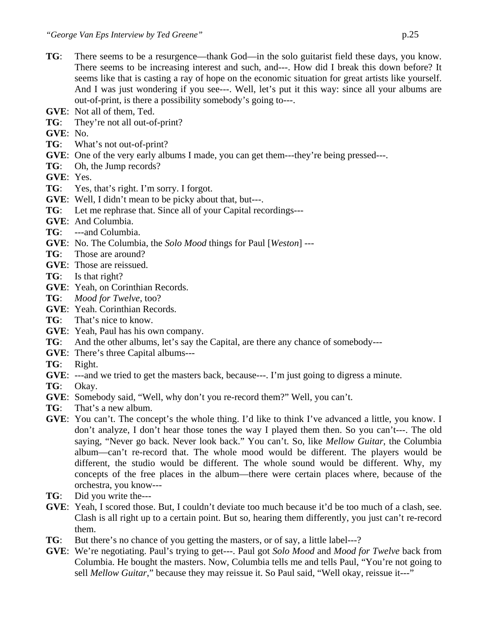- **TG**: There seems to be a resurgence—thank God—in the solo guitarist field these days, you know. There seems to be increasing interest and such, and---. How did I break this down before? It seems like that is casting a ray of hope on the economic situation for great artists like yourself. And I was just wondering if you see---. Well, let's put it this way: since all your albums are out-of-print, is there a possibility somebody's going to---.
- **GVE**: Not all of them, Ted.
- **TG**: They're not all out-of-print?
- **GVE**: No.
- **TG**: What's not out-of-print?
- **GVE:** One of the very early albums I made, you can get them---they're being pressed---.
- **TG**: Oh, the Jump records?
- **GVE**: Yes.
- **TG**: Yes, that's right. I'm sorry. I forgot.
- **GVE**: Well, I didn't mean to be picky about that, but---.
- **TG**: Let me rephrase that. Since all of your Capital recordings---
- **GVE**: And Columbia.
- **TG**: ---and Columbia.
- **GVE**: No. The Columbia, the *Solo Mood* things for Paul [*Weston*] ---
- **TG**: Those are around?
- **GVE**: Those are reissued.
- **TG**: Is that right?
- **GVE**: Yeah, on Corinthian Records.
- **TG**: *Mood for Twelve*, too?
- **GVE**: Yeah. Corinthian Records.
- **TG**: That's nice to know.
- **GVE**: Yeah, Paul has his own company.
- **TG**: And the other albums, let's say the Capital, are there any chance of somebody---
- **GVE**: There's three Capital albums---
- **TG**: Right.
- **GVE**: ---and we tried to get the masters back, because---. I'm just going to digress a minute.
- **TG**: Okay.
- **GVE**: Somebody said, "Well, why don't you re-record them?" Well, you can't.
- **TG**: That's a new album.
- **GVE**: You can't. The concept's the whole thing. I'd like to think I've advanced a little, you know. I don't analyze, I don't hear those tones the way I played them then. So you can't---. The old saying, "Never go back. Never look back." You can't. So, like *Mellow Guitar*, the Columbia album—can't re-record that. The whole mood would be different. The players would be different, the studio would be different. The whole sound would be different. Why, my concepts of the free places in the album—there were certain places where, because of the orchestra, you know---
- **TG**: Did you write the---
- **GVE**: Yeah, I scored those. But, I couldn't deviate too much because it'd be too much of a clash, see. Clash is all right up to a certain point. But so, hearing them differently, you just can't re-record them.
- **TG**: But there's no chance of you getting the masters, or of say, a little label---?
- **GVE**: We're negotiating. Paul's trying to get---. Paul got *Solo Mood* and *Mood for Twelve* back from Columbia. He bought the masters. Now, Columbia tells me and tells Paul, "You're not going to sell *Mellow Guitar*," because they may reissue it. So Paul said, "Well okay, reissue it---"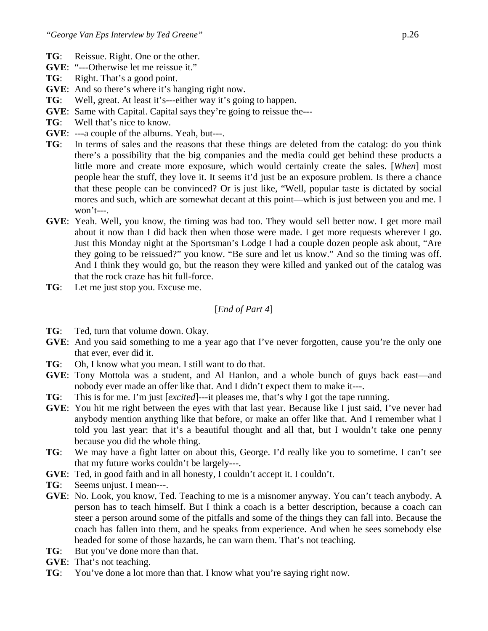- **TG**: Reissue. Right. One or the other.
- **GVE**: "---Otherwise let me reissue it."
- **TG**: Right. That's a good point.
- **GVE**: And so there's where it's hanging right now.
- **TG**: Well, great. At least it's---either way it's going to happen.
- **GVE**: Same with Capital. Capital says they're going to reissue the---
- **TG**: Well that's nice to know.
- **GVE**: ---a couple of the albums. Yeah, but---.
- **TG**: In terms of sales and the reasons that these things are deleted from the catalog: do you think there's a possibility that the big companies and the media could get behind these products a little more and create more exposure, which would certainly create the sales. [*When*] most people hear the stuff, they love it. It seems it'd just be an exposure problem. Is there a chance that these people can be convinced? Or is just like, "Well, popular taste is dictated by social mores and such, which are somewhat decant at this point—which is just between you and me. I won't---.
- **GVE**: Yeah. Well, you know, the timing was bad too. They would sell better now. I get more mail about it now than I did back then when those were made. I get more requests wherever I go. Just this Monday night at the Sportsman's Lodge I had a couple dozen people ask about, "Are they going to be reissued?" you know. "Be sure and let us know." And so the timing was off. And I think they would go, but the reason they were killed and yanked out of the catalog was that the rock craze has hit full-force.
- **TG**: Let me just stop you. Excuse me.

#### [*End of Part 4*]

- **TG**: Ted, turn that volume down. Okay.
- **GVE:** And you said something to me a year ago that I've never forgotten, cause you're the only one that ever, ever did it.
- **TG**: Oh, I know what you mean. I still want to do that.
- **GVE**: Tony Mottola was a student, and Al Hanlon, and a whole bunch of guys back east—and nobody ever made an offer like that. And I didn't expect them to make it---.
- **TG**: This is for me. I'm just [*excited*]---it pleases me, that's why I got the tape running.
- **GVE**: You hit me right between the eyes with that last year. Because like I just said, I've never had anybody mention anything like that before, or make an offer like that. And I remember what I told you last year: that it's a beautiful thought and all that, but I wouldn't take one penny because you did the whole thing.
- **TG**: We may have a fight latter on about this, George. I'd really like you to sometime. I can't see that my future works couldn't be largely---.
- **GVE**: Ted, in good faith and in all honesty, I couldn't accept it. I couldn't.
- **TG**: Seems unjust. I mean---.
- **GVE**: No. Look, you know, Ted. Teaching to me is a misnomer anyway. You can't teach anybody. A person has to teach himself. But I think a coach is a better description, because a coach can steer a person around some of the pitfalls and some of the things they can fall into. Because the coach has fallen into them, and he speaks from experience. And when he sees somebody else headed for some of those hazards, he can warn them. That's not teaching.
- **TG**: But you've done more than that.
- **GVE**: That's not teaching.
- **TG**: You've done a lot more than that. I know what you're saying right now.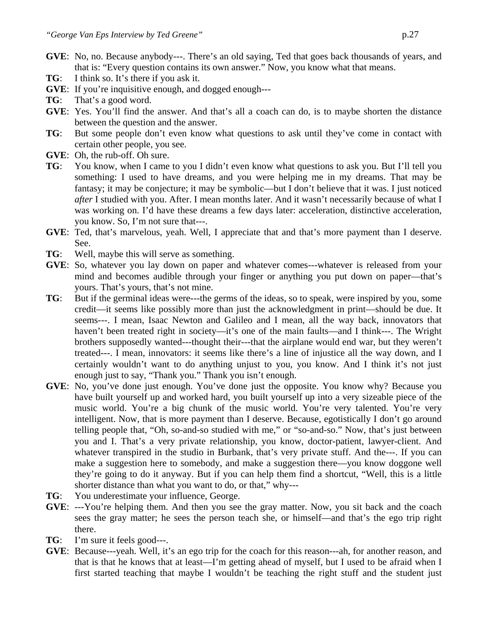- **GVE**: No, no. Because anybody---. There's an old saying, Ted that goes back thousands of years, and that is: "Every question contains its own answer." Now, you know what that means.
- **TG**: I think so. It's there if you ask it.
- **GVE**: If you're inquisitive enough, and dogged enough---
- **TG**: That's a good word.
- **GVE**: Yes. You'll find the answer. And that's all a coach can do, is to maybe shorten the distance between the question and the answer.
- **TG**: But some people don't even know what questions to ask until they've come in contact with certain other people, you see.
- **GVE**: Oh, the rub-off. Oh sure.
- **TG**: You know, when I came to you I didn't even know what questions to ask you. But I'll tell you something: I used to have dreams, and you were helping me in my dreams. That may be fantasy; it may be conjecture; it may be symbolic—but I don't believe that it was. I just noticed *after* I studied with you. After. I mean months later. And it wasn't necessarily because of what I was working on. I'd have these dreams a few days later: acceleration, distinctive acceleration, you know. So, I'm not sure that---.
- **GVE**: Ted, that's marvelous, yeah. Well, I appreciate that and that's more payment than I deserve. See.
- **TG**: Well, maybe this will serve as something.
- **GVE**: So, whatever you lay down on paper and whatever comes---whatever is released from your mind and becomes audible through your finger or anything you put down on paper—that's yours. That's yours, that's not mine.
- **TG**: But if the germinal ideas were---the germs of the ideas, so to speak, were inspired by you, some credit—it seems like possibly more than just the acknowledgment in print—should be due. It seems---. I mean, Isaac Newton and Galileo and I mean, all the way back, innovators that haven't been treated right in society—it's one of the main faults—and I think---. The Wright brothers supposedly wanted---thought their---that the airplane would end war, but they weren't treated---. I mean, innovators: it seems like there's a line of injustice all the way down, and I certainly wouldn't want to do anything unjust to you, you know. And I think it's not just enough just to say, "Thank you." Thank you isn't enough.
- **GVE**: No, you've done just enough. You've done just the opposite. You know why? Because you have built yourself up and worked hard, you built yourself up into a very sizeable piece of the music world. You're a big chunk of the music world. You're very talented. You're very intelligent. Now, that is more payment than I deserve. Because, egotistically I don't go around telling people that, "Oh, so-and-so studied with me," or "so-and-so." Now, that's just between you and I. That's a very private relationship, you know, doctor-patient, lawyer-client. And whatever transpired in the studio in Burbank, that's very private stuff. And the---. If you can make a suggestion here to somebody, and make a suggestion there—you know doggone well they're going to do it anyway. But if you can help them find a shortcut, "Well, this is a little shorter distance than what you want to do, or that," why---
- **TG**: You underestimate your influence, George.
- **GVE**: ---You're helping them. And then you see the gray matter. Now, you sit back and the coach sees the gray matter; he sees the person teach she, or himself—and that's the ego trip right there.
- **TG**: I'm sure it feels good---.
- **GVE**: Because---yeah. Well, it's an ego trip for the coach for this reason---ah, for another reason, and that is that he knows that at least—I'm getting ahead of myself, but I used to be afraid when I first started teaching that maybe I wouldn't be teaching the right stuff and the student just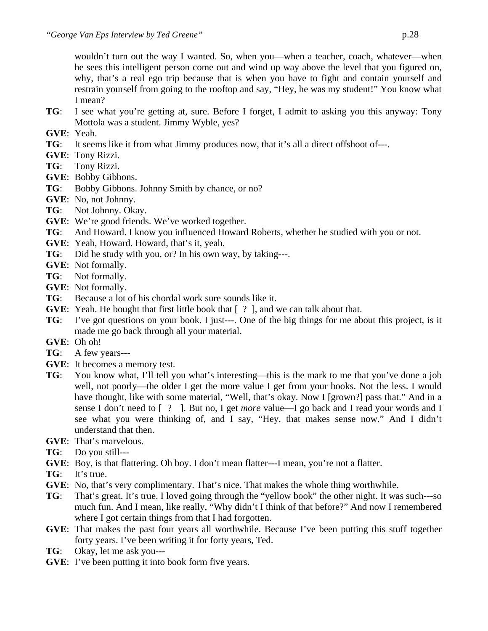wouldn't turn out the way I wanted. So, when you—when a teacher, coach, whatever—when he sees this intelligent person come out and wind up way above the level that you figured on, why, that's a real ego trip because that is when you have to fight and contain yourself and restrain yourself from going to the rooftop and say, "Hey, he was my student!" You know what I mean?

- **TG**: I see what you're getting at, sure. Before I forget, I admit to asking you this anyway: Tony Mottola was a student. Jimmy Wyble, yes?
- **GVE**: Yeah.
- **TG**: It seems like it from what Jimmy produces now, that it's all a direct offshoot of---.
- **GVE**: Tony Rizzi.
- **TG**: Tony Rizzi.
- **GVE**: Bobby Gibbons.
- **TG**: Bobby Gibbons. Johnny Smith by chance, or no?
- **GVE**: No, not Johnny.
- **TG**: Not Johnny. Okay.
- **GVE**: We're good friends. We've worked together.
- **TG**: And Howard. I know you influenced Howard Roberts, whether he studied with you or not.
- **GVE**: Yeah, Howard. Howard, that's it, yeah.
- **TG**: Did he study with you, or? In his own way, by taking---.
- **GVE**: Not formally.
- **TG**: Not formally.
- **GVE**: Not formally.
- **TG**: Because a lot of his chordal work sure sounds like it.
- **GVE**: Yeah. He bought that first little book that [ ? ], and we can talk about that.
- **TG**: I've got questions on your book. I just---. One of the big things for me about this project, is it made me go back through all your material.
- **GVE**: Oh oh!
- **TG**: A few years---
- **GVE**: It becomes a memory test.
- **TG**: You know what, I'll tell you what's interesting—this is the mark to me that you've done a job well, not poorly—the older I get the more value I get from your books. Not the less. I would have thought, like with some material, "Well, that's okay. Now I [grown?] pass that." And in a sense I don't need to [ ? ]. But no, I get *more* value—I go back and I read your words and I see what you were thinking of, and I say, "Hey, that makes sense now." And I didn't understand that then.
- **GVE**: That's marvelous.
- **TG**: Do you still---
- **GVE**: Boy, is that flattering. Oh boy. I don't mean flatter---I mean, you're not a flatter.
- **TG**: It's true.
- **GVE**: No, that's very complimentary. That's nice. That makes the whole thing worthwhile.
- **TG**: That's great. It's true. I loved going through the "yellow book" the other night. It was such---so much fun. And I mean, like really, "Why didn't I think of that before?" And now I remembered where I got certain things from that I had forgotten.
- **GVE**: That makes the past four years all worthwhile. Because I've been putting this stuff together forty years. I've been writing it for forty years, Ted.
- **TG**: Okay, let me ask you---
- **GVE**: I've been putting it into book form five years.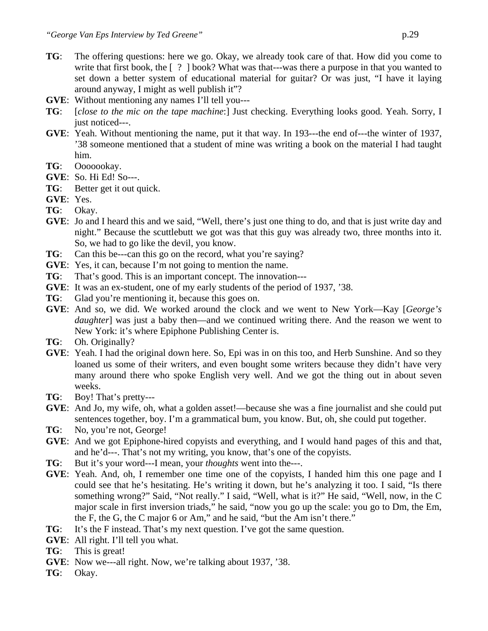- **TG**: The offering questions: here we go. Okay, we already took care of that. How did you come to write that first book, the [ ? ] book? What was that---was there a purpose in that you wanted to set down a better system of educational material for guitar? Or was just, "I have it laying around anyway, I might as well publish it"?
- **GVE**: Without mentioning any names I'll tell you---
- **TG**: [*close to the mic on the tape machine*:] Just checking. Everything looks good. Yeah. Sorry, I just noticed---.
- **GVE**: Yeah. Without mentioning the name, put it that way. In 193---the end of---the winter of 1937, '38 someone mentioned that a student of mine was writing a book on the material I had taught him.
- **TG**: Ooooookay.
- **GVE**: So. Hi Ed! So---.
- **TG**: Better get it out quick.
- **GVE**: Yes.
- **TG**: Okay.
- **GVE**: Jo and I heard this and we said, "Well, there's just one thing to do, and that is just write day and night." Because the scuttlebutt we got was that this guy was already two, three months into it. So, we had to go like the devil, you know.
- **TG**: Can this be---can this go on the record, what you're saying?
- **GVE**: Yes, it can, because I'm not going to mention the name.
- **TG**: That's good. This is an important concept. The innovation---
- **GVE**: It was an ex-student, one of my early students of the period of 1937, '38.
- **TG**: Glad you're mentioning it, because this goes on.
- **GVE**: And so, we did. We worked around the clock and we went to New York—Kay [*George's daughter*] was just a baby then—and we continued writing there. And the reason we went to New York: it's where Epiphone Publishing Center is.
- **TG**: Oh. Originally?
- **GVE**: Yeah. I had the original down here. So, Epi was in on this too, and Herb Sunshine. And so they loaned us some of their writers, and even bought some writers because they didn't have very many around there who spoke English very well. And we got the thing out in about seven weeks.
- **TG**: Boy! That's pretty---
- **GVE**: And Jo, my wife, oh, what a golden asset!—because she was a fine journalist and she could put sentences together, boy. I'm a grammatical bum, you know. But, oh, she could put together.
- **TG**: No, you're not, George!
- **GVE**: And we got Epiphone-hired copyists and everything, and I would hand pages of this and that, and he'd---. That's not my writing, you know, that's one of the copyists.
- **TG**: But it's your word---I mean, your *thoughts* went into the---.
- **GVE**: Yeah. And, oh, I remember one time one of the copyists, I handed him this one page and I could see that he's hesitating. He's writing it down, but he's analyzing it too. I said, "Is there something wrong?" Said, "Not really." I said, "Well, what is it?" He said, "Well, now, in the C major scale in first inversion triads," he said, "now you go up the scale: you go to Dm, the Em, the F, the G, the C major 6 or Am," and he said, "but the Am isn't there."
- **TG**: It's the F instead. That's my next question. I've got the same question.
- **GVE**: All right. I'll tell you what.
- **TG**: This is great!
- **GVE**: Now we---all right. Now, we're talking about 1937, '38.
- **TG**: Okay.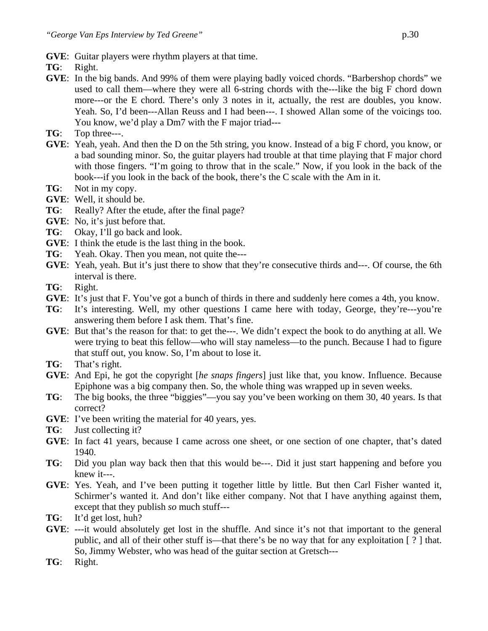- **GVE**: Guitar players were rhythm players at that time.
- **TG**: Right.
- **GVE**: In the big bands. And 99% of them were playing badly voiced chords. "Barbershop chords" we used to call them—where they were all 6-string chords with the---like the big F chord down more---or the E chord. There's only 3 notes in it, actually, the rest are doubles, you know. Yeah. So, I'd been---Allan Reuss and I had been---. I showed Allan some of the voicings too. You know, we'd play a Dm7 with the F major triad---
- **TG**: Top three---.
- **GVE**: Yeah, yeah. And then the D on the 5th string, you know. Instead of a big F chord, you know, or a bad sounding minor. So, the guitar players had trouble at that time playing that F major chord with those fingers. "I'm going to throw that in the scale." Now, if you look in the back of the book---if you look in the back of the book, there's the C scale with the Am in it.
- **TG**: Not in my copy.
- **GVE**: Well, it should be.
- **TG**: Really? After the etude, after the final page?
- **GVE**: No, it's just before that.
- **TG**: Okay, I'll go back and look.
- **GVE**: I think the etude is the last thing in the book.
- **TG**: Yeah. Okay. Then you mean, not quite the---
- **GVE**: Yeah, yeah. But it's just there to show that they're consecutive thirds and---. Of course, the 6th interval is there.
- **TG**: Right.
- **GVE**: It's just that F. You've got a bunch of thirds in there and suddenly here comes a 4th, you know.
- **TG**: It's interesting. Well, my other questions I came here with today, George, they're---you're answering them before I ask them. That's fine.
- **GVE**: But that's the reason for that: to get the---. We didn't expect the book to do anything at all. We were trying to beat this fellow—who will stay nameless—to the punch. Because I had to figure that stuff out, you know. So, I'm about to lose it.
- **TG**: That's right.
- **GVE**: And Epi, he got the copyright [*he snaps fingers*] just like that, you know. Influence. Because Epiphone was a big company then. So, the whole thing was wrapped up in seven weeks.
- **TG**: The big books, the three "biggies"—you say you've been working on them 30, 40 years. Is that correct?
- **GVE**: I've been writing the material for 40 years, yes.
- **TG**: Just collecting it?
- **GVE**: In fact 41 years, because I came across one sheet, or one section of one chapter, that's dated 1940.
- **TG**: Did you plan way back then that this would be---. Did it just start happening and before you knew it---.
- **GVE**: Yes. Yeah, and I've been putting it together little by little. But then Carl Fisher wanted it, Schirmer's wanted it. And don't like either company. Not that I have anything against them, except that they publish *so* much stuff---
- **TG**: It'd get lost, huh?
- **GVE**: ---it would absolutely get lost in the shuffle. And since it's not that important to the general public, and all of their other stuff is—that there's be no way that for any exploitation [ ? ] that. So, Jimmy Webster, who was head of the guitar section at Gretsch---
- **TG**: Right.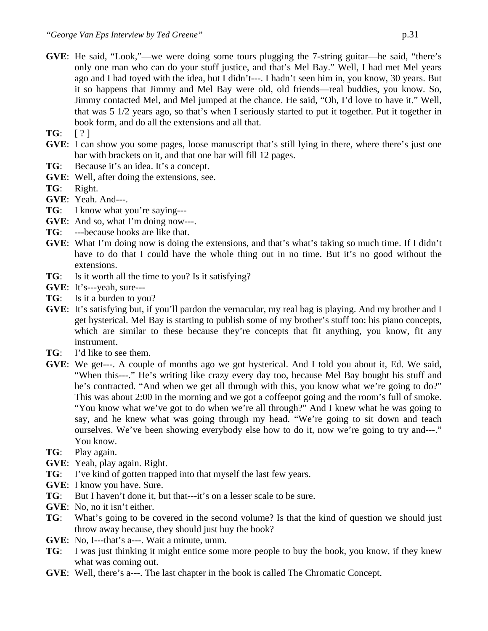- **GVE**: He said, "Look,"—we were doing some tours plugging the 7-string guitar—he said, "there's only one man who can do your stuff justice, and that's Mel Bay." Well, I had met Mel years ago and I had toyed with the idea, but I didn't---. I hadn't seen him in, you know, 30 years. But it so happens that Jimmy and Mel Bay were old, old friends—real buddies, you know. So, Jimmy contacted Mel, and Mel jumped at the chance. He said, "Oh, I'd love to have it." Well, that was 5 1/2 years ago, so that's when I seriously started to put it together. Put it together in book form, and do all the extensions and all that.
- **TG**: [ ? ]
- **GVE**: I can show you some pages, loose manuscript that's still lying in there, where there's just one bar with brackets on it, and that one bar will fill 12 pages.
- **TG**: Because it's an idea. It's a concept.
- **GVE**: Well, after doing the extensions, see.
- **TG**: Right.
- **GVE**: Yeah. And---.
- **TG**: I know what you're saying---
- **GVE:** And so, what I'm doing now---.
- **TG**: ---because books are like that.
- **GVE**: What I'm doing now is doing the extensions, and that's what's taking so much time. If I didn't have to do that I could have the whole thing out in no time. But it's no good without the extensions.
- **TG**: Is it worth all the time to you? Is it satisfying?
- **GVE**: It's---yeah, sure---
- **TG**: Is it a burden to you?
- **GVE**: It's satisfying but, if you'll pardon the vernacular, my real bag is playing. And my brother and I get hysterical. Mel Bay is starting to publish some of my brother's stuff too: his piano concepts, which are similar to these because they're concepts that fit anything, you know, fit any instrument.
- **TG**: I'd like to see them.
- **GVE**: We get---. A couple of months ago we got hysterical. And I told you about it, Ed. We said, "When this---." He's writing like crazy every day too, because Mel Bay bought his stuff and he's contracted. "And when we get all through with this, you know what we're going to do?" This was about 2:00 in the morning and we got a coffeepot going and the room's full of smoke. "You know what we've got to do when we're all through?" And I knew what he was going to say, and he knew what was going through my head. "We're going to sit down and teach ourselves. We've been showing everybody else how to do it, now we're going to try and---." You know.
- **TG**: Play again.
- **GVE**: Yeah, play again. Right.
- **TG**: I've kind of gotten trapped into that myself the last few years.
- **GVE**: I know you have. Sure.
- **TG**: But I haven't done it, but that---it's on a lesser scale to be sure.
- **GVE**: No, no it isn't either.
- **TG**: What's going to be covered in the second volume? Is that the kind of question we should just throw away because, they should just buy the book?
- **GVE**: No, I---that's a---. Wait a minute, umm.
- **TG**: I was just thinking it might entice some more people to buy the book, you know, if they knew what was coming out.
- **GVE**: Well, there's a---. The last chapter in the book is called The Chromatic Concept.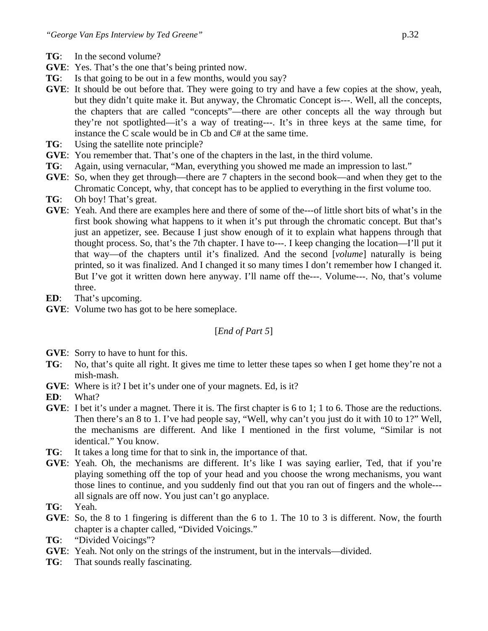- **TG**: In the second volume?
- **GVE**: Yes. That's the one that's being printed now.
- **TG**: Is that going to be out in a few months, would you say?
- **GVE**: It should be out before that. They were going to try and have a few copies at the show, yeah, but they didn't quite make it. But anyway, the Chromatic Concept is---. Well, all the concepts, the chapters that are called "concepts"—there are other concepts all the way through but they're not spotlighted—it's a way of treating---. It's in three keys at the same time, for instance the C scale would be in Cb and C# at the same time.
- **TG**: Using the satellite note principle?
- **GVE**: You remember that. That's one of the chapters in the last, in the third volume.
- **TG**: Again, using vernacular, "Man, everything you showed me made an impression to last."
- **GVE**: So, when they get through—there are 7 chapters in the second book—and when they get to the Chromatic Concept, why, that concept has to be applied to everything in the first volume too.
- **TG**: Oh boy! That's great.
- **GVE**: Yeah. And there are examples here and there of some of the---of little short bits of what's in the first book showing what happens to it when it's put through the chromatic concept. But that's just an appetizer, see. Because I just show enough of it to explain what happens through that thought process. So, that's the 7th chapter. I have to---. I keep changing the location—I'll put it that way—of the chapters until it's finalized. And the second [*volume*] naturally is being printed, so it was finalized. And I changed it so many times I don't remember how I changed it. But I've got it written down here anyway. I'll name off the---. Volume---. No, that's volume three.
- **ED**: That's upcoming.
- **GVE**: Volume two has got to be here someplace.

# [*End of Part 5*]

- **GVE**: Sorry to have to hunt for this.
- **TG**: No, that's quite all right. It gives me time to letter these tapes so when I get home they're not a mish-mash.
- **GVE**: Where is it? I bet it's under one of your magnets. Ed, is it?
- **ED**: What?
- **GVE**: I bet it's under a magnet. There it is. The first chapter is 6 to 1; 1 to 6. Those are the reductions. Then there's an 8 to 1. I've had people say, "Well, why can't you just do it with 10 to 1?" Well, the mechanisms are different. And like I mentioned in the first volume, "Similar is not identical." You know.
- **TG**: It takes a long time for that to sink in, the importance of that.
- **GVE**: Yeah. Oh, the mechanisms are different. It's like I was saying earlier, Ted, that if you're playing something off the top of your head and you choose the wrong mechanisms, you want those lines to continue, and you suddenly find out that you ran out of fingers and the whole-- all signals are off now. You just can't go anyplace.
- **TG**: Yeah.
- **GVE**: So, the 8 to 1 fingering is different than the 6 to 1. The 10 to 3 is different. Now, the fourth chapter is a chapter called, "Divided Voicings."
- **TG**: "Divided Voicings"?
- **GVE**: Yeah. Not only on the strings of the instrument, but in the intervals—divided.
- **TG**: That sounds really fascinating.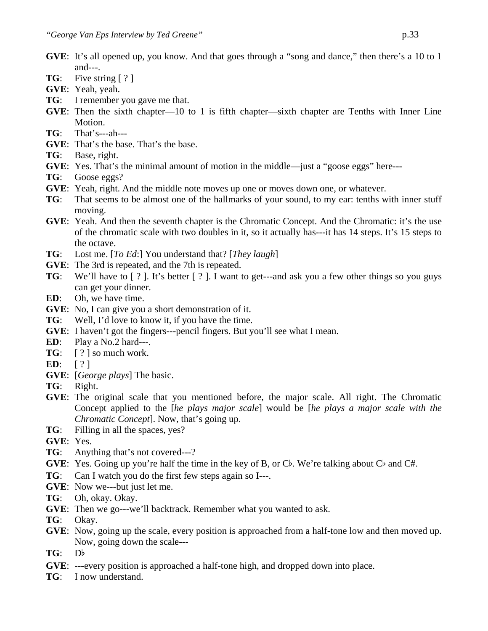- **GVE**: It's all opened up, you know. And that goes through a "song and dance," then there's a 10 to 1 and- $-$ .
- **TG**: Five string [ ? ]
- **GVE**: Yeah, yeah.
- **TG**: I remember you gave me that.
- **GVE**: Then the sixth chapter—10 to 1 is fifth chapter—sixth chapter are Tenths with Inner Line Motion.
- **TG**: That's---ah---
- **GVE**: That's the base. That's the base.
- **TG**: Base, right.
- **GVE**: Yes. That's the minimal amount of motion in the middle—just a "goose eggs" here---
- **TG**: Goose eggs?
- **GVE**: Yeah, right. And the middle note moves up one or moves down one, or whatever.
- **TG**: That seems to be almost one of the hallmarks of your sound, to my ear: tenths with inner stuff moving.
- **GVE**: Yeah. And then the seventh chapter is the Chromatic Concept. And the Chromatic: it's the use of the chromatic scale with two doubles in it, so it actually has---it has 14 steps. It's 15 steps to the octave.
- **TG**: Lost me. [*To Ed*:] You understand that? [*They laugh*]
- **GVE**: The 3rd is repeated, and the 7th is repeated.
- **TG**: We'll have to  $\lceil ? \rceil$ . It's better  $\lceil ? \rceil$ . I want to get---and ask you a few other things so you guys can get your dinner.
- **ED**: Oh, we have time.
- **GVE**: No, I can give you a short demonstration of it.
- **TG**: Well, I'd love to know it, if you have the time.
- **GVE**: I haven't got the fingers---pencil fingers. But you'll see what I mean.
- **ED**: Play a No.2 hard---.
- **TG**: [ ? ] so much work.
- **ED**: [ ? ]
- **GVE**: [*George plays*] The basic.
- **TG**: Right.
- **GVE**: The original scale that you mentioned before, the major scale. All right. The Chromatic Concept applied to the [*he plays major scale*] would be [*he plays a major scale with the Chromatic Concept*]. Now, that's going up.
- **TG**: Filling in all the spaces, yes?
- **GVE**: Yes.
- **TG**: Anything that's not covered---?
- **GVE:** Yes. Going up you're half the time in the key of B, or Cb. We're talking about Cb and C#.
- **TG**: Can I watch you do the first few steps again so I---.
- **GVE**: Now we---but just let me.
- **TG**: Oh, okay. Okay.
- **GVE**: Then we go---we'll backtrack. Remember what you wanted to ask.
- **TG**: Okay.
- **GVE**: Now, going up the scale, every position is approached from a half-tone low and then moved up. Now, going down the scale---
- $TG: Db$
- **GVE**: ---every position is approached a half-tone high, and dropped down into place.
- **TG**: I now understand.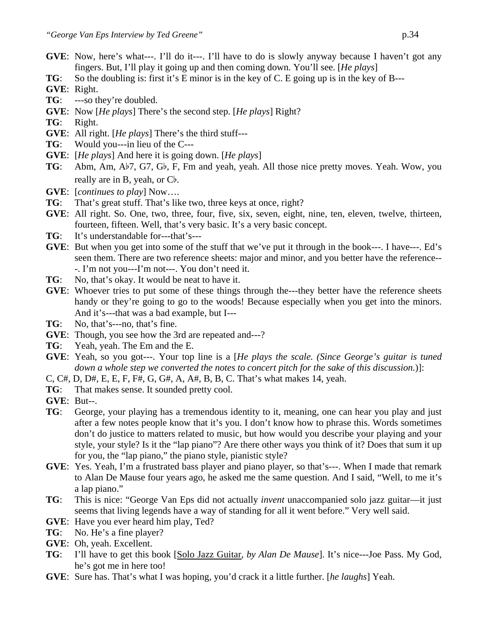- **GVE:** Now, here's what---. I'll do it---. I'll have to do is slowly anyway because I haven't got any fingers. But, I'll play it going up and then coming down. You'll see. [*He plays*]
- **TG**: So the doubling is: first it's E minor is in the key of C. E going up is in the key of B---
- **GVE**: Right.
- **TG**: ---so they're doubled.
- **GVE**: Now [*He plays*] There's the second step. [*He plays*] Right?
- **TG**: Right.
- **GVE**: All right. [*He plays*] There's the third stuff---
- **TG**: Would you---in lieu of the C---
- **GVE**: [*He plays*] And here it is going down. [*He plays*]
- **TG**: Abm, Am, A<sup> $\uparrow$ </sup>7, G7, G<sup> $\uparrow$ </sup>, F, Fm and yeah, yeah. All those nice pretty moves. Yeah. Wow, you really are in B, yeah, or  $C^{\flat}$ .
- **GVE**: [*continues to play*] Now….
- **TG**: That's great stuff. That's like two, three keys at once, right?
- **GVE**: All right. So. One, two, three, four, five, six, seven, eight, nine, ten, eleven, twelve, thirteen, fourteen, fifteen. Well, that's very basic. It's a very basic concept.
- **TG**: It's understandable for---that's---
- **GVE**: But when you get into some of the stuff that we've put it through in the book---. I have---. Ed's seen them. There are two reference sheets: major and minor, and you better have the reference-- -. I'm not you---I'm not---. You don't need it.
- **TG**: No, that's okay. It would be neat to have it.
- **GVE:** Whoever tries to put some of these things through the—they better have the reference sheets handy or they're going to go to the woods! Because especially when you get into the minors. And it's---that was a bad example, but I---
- **TG**: No, that's---no, that's fine.
- **GVE**: Though, you see how the 3rd are repeated and---?
- **TG**: Yeah, yeah. The Em and the E.
- **GVE**: Yeah, so you got---. Your top line is a [*He plays the scale. (Since George's guitar is tuned down a whole step we converted the notes to concert pitch for the sake of this discussion.*)]:
- C, C#, D, D#, E, E, F, F#, G, G#, A, A#, B, B, C. That's what makes 14, yeah.
- **TG**: That makes sense. It sounded pretty cool.
- **GVE**: But--.
- **TG**: George, your playing has a tremendous identity to it, meaning, one can hear you play and just after a few notes people know that it's you. I don't know how to phrase this. Words sometimes don't do justice to matters related to music, but how would you describe your playing and your style, your style? Is it the "lap piano"? Are there other ways you think of it? Does that sum it up for you, the "lap piano," the piano style, pianistic style?
- **GVE**: Yes. Yeah, I'm a frustrated bass player and piano player, so that's---. When I made that remark to Alan De Mause four years ago, he asked me the same question. And I said, "Well, to me it's a lap piano."
- **TG**: This is nice: "George Van Eps did not actually *invent* unaccompanied solo jazz guitar—it just seems that living legends have a way of standing for all it went before." Very well said.
- **GVE**: Have you ever heard him play, Ted?
- **TG**: No. He's a fine player?
- **GVE**: Oh, yeah. Excellent.
- **TG**: I'll have to get this book [Solo Jazz Guitar*, by Alan De Mause*]. It's nice---Joe Pass. My God, he's got me in here too!
- **GVE**: Sure has. That's what I was hoping, you'd crack it a little further. [*he laughs*] Yeah.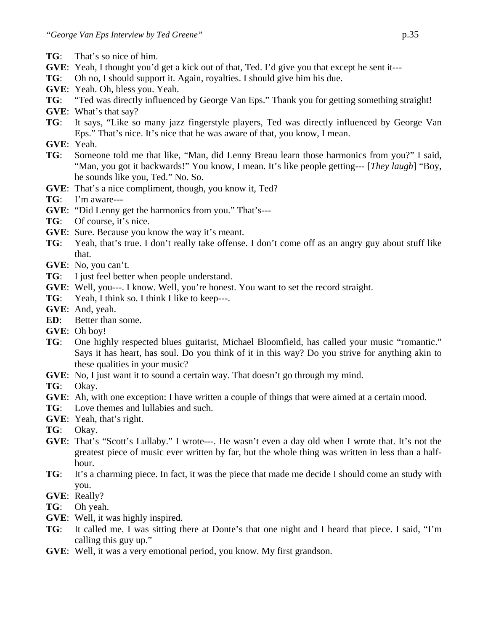- **TG**: That's so nice of him.
- **GVE**: Yeah, I thought you'd get a kick out of that, Ted. I'd give you that except he sent it---
- **TG**: Oh no, I should support it. Again, royalties. I should give him his due.
- **GVE**: Yeah. Oh, bless you. Yeah.
- **TG**: "Ted was directly influenced by George Van Eps." Thank you for getting something straight!
- **GVE**: What's that say?
- **TG**: It says, "Like so many jazz fingerstyle players, Ted was directly influenced by George Van Eps." That's nice. It's nice that he was aware of that, you know, I mean.
- **GVE**: Yeah.
- **TG**: Someone told me that like, "Man, did Lenny Breau learn those harmonics from you?" I said, "Man, you got it backwards!" You know, I mean. It's like people getting--- [*They laugh*] "Boy, he sounds like you, Ted." No. So.
- **GVE**: That's a nice compliment, though, you know it, Ted?
- **TG**: I'm aware---
- **GVE**: "Did Lenny get the harmonics from you." That's---
- **TG**: Of course, it's nice.
- **GVE**: Sure. Because you know the way it's meant.
- **TG**: Yeah, that's true. I don't really take offense. I don't come off as an angry guy about stuff like that.
- **GVE**: No, you can't.
- **TG**: I just feel better when people understand.
- **GVE**: Well, you---. I know. Well, you're honest. You want to set the record straight.
- **TG**: Yeah, I think so. I think I like to keep---.
- **GVE**: And, yeah.
- **ED**: Better than some.
- **GVE**: Oh boy!
- **TG**: One highly respected blues guitarist, Michael Bloomfield, has called your music "romantic." Says it has heart, has soul. Do you think of it in this way? Do you strive for anything akin to these qualities in your music?
- **GVE**: No, I just want it to sound a certain way. That doesn't go through my mind.

**TG**: Okay.

- **GVE**: Ah, with one exception: I have written a couple of things that were aimed at a certain mood.
- **TG**: Love themes and lullabies and such.
- **GVE**: Yeah, that's right.

**TG**: Okay.

- **GVE**: That's "Scott's Lullaby." I wrote---. He wasn't even a day old when I wrote that. It's not the greatest piece of music ever written by far, but the whole thing was written in less than a halfhour.
- **TG**: It's a charming piece. In fact, it was the piece that made me decide I should come an study with you.
- **GVE**: Really?

**TG**: Oh yeah.

- **GVE**: Well, it was highly inspired.
- **TG**: It called me. I was sitting there at Donte's that one night and I heard that piece. I said, "I'm calling this guy up."
- **GVE**: Well, it was a very emotional period, you know. My first grandson.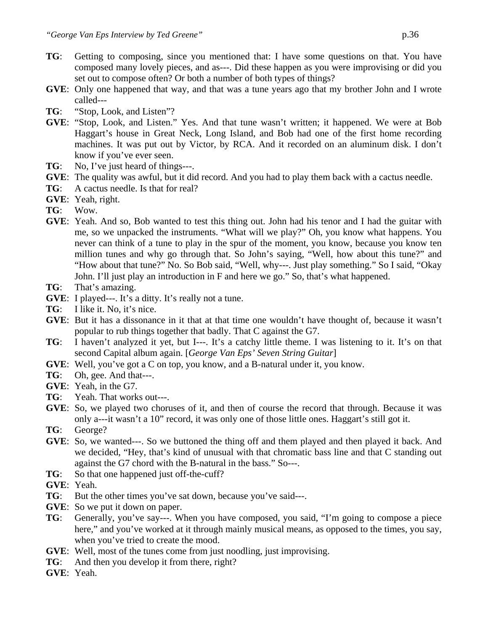- **TG**: Getting to composing, since you mentioned that: I have some questions on that. You have composed many lovely pieces, and as---. Did these happen as you were improvising or did you set out to compose often? Or both a number of both types of things?
- **GVE**: Only one happened that way, and that was a tune years ago that my brother John and I wrote called---
- **TG**: "Stop, Look, and Listen"?
- **GVE**: "Stop, Look, and Listen." Yes. And that tune wasn't written; it happened. We were at Bob Haggart's house in Great Neck, Long Island, and Bob had one of the first home recording machines. It was put out by Victor, by RCA. And it recorded on an aluminum disk. I don't know if you've ever seen.
- **TG**: No, I've just heard of things---.
- **GVE**: The quality was awful, but it did record. And you had to play them back with a cactus needle.
- **TG**: A cactus needle. Is that for real?
- **GVE**: Yeah, right.
- **TG**: Wow.
- **GVE**: Yeah. And so, Bob wanted to test this thing out. John had his tenor and I had the guitar with me, so we unpacked the instruments. "What will we play?" Oh, you know what happens. You never can think of a tune to play in the spur of the moment, you know, because you know ten million tunes and why go through that. So John's saying, "Well, how about this tune?" and "How about that tune?" No. So Bob said, "Well, why---. Just play something." So I said, "Okay John. I'll just play an introduction in F and here we go." So, that's what happened.
- **TG**: That's amazing.
- **GVE**: I played---. It's a ditty. It's really not a tune.
- **TG**: I like it. No, it's nice.
- **GVE**: But it has a dissonance in it that at that time one wouldn't have thought of, because it wasn't popular to rub things together that badly. That C against the G7.
- **TG**: I haven't analyzed it yet, but I---. It's a catchy little theme. I was listening to it. It's on that second Capital album again. [*George Van Eps' Seven String Guitar*]
- **GVE**: Well, you've got a C on top, you know, and a B-natural under it, you know.
- **TG**: Oh, gee. And that---.
- **GVE**: Yeah, in the G7.
- **TG**: Yeah. That works out---.
- **GVE**: So, we played two choruses of it, and then of course the record that through. Because it was only a---it wasn't a 10" record, it was only one of those little ones. Haggart's still got it.
- **TG**: George?
- **GVE**: So, we wanted---. So we buttoned the thing off and them played and then played it back. And we decided, "Hey, that's kind of unusual with that chromatic bass line and that C standing out against the G7 chord with the B-natural in the bass." So---.
- **TG**: So that one happened just off-the-cuff?

**GVE**: Yeah.

- **TG**: But the other times you've sat down, because you've said---.
- **GVE**: So we put it down on paper.
- **TG**: Generally, you've say---. When you have composed, you said, "I'm going to compose a piece here," and you've worked at it through mainly musical means, as opposed to the times, you say, when you've tried to create the mood.
- **GVE**: Well, most of the tunes come from just noodling, just improvising.
- **TG**: And then you develop it from there, right?
- **GVE**: Yeah.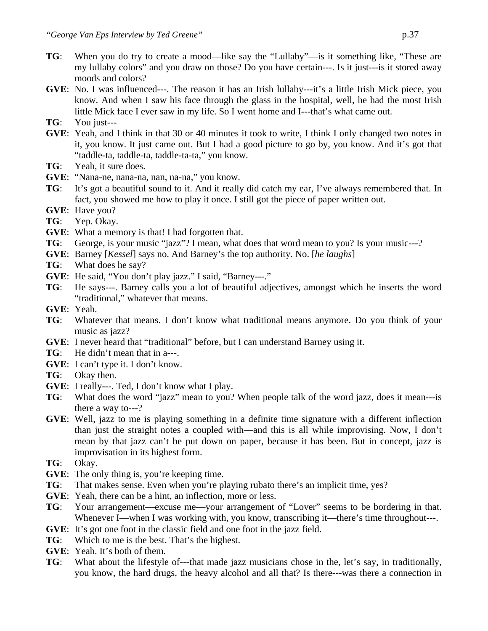- **TG**: When you do try to create a mood—like say the "Lullaby"—is it something like, "These are my lullaby colors" and you draw on those? Do you have certain---. Is it just---is it stored away moods and colors?
- **GVE**: No. I was influenced---. The reason it has an Irish lullaby---it's a little Irish Mick piece, you know. And when I saw his face through the glass in the hospital, well, he had the most Irish little Mick face I ever saw in my life. So I went home and I---that's what came out.
- **TG**: You just---
- **GVE**: Yeah, and I think in that 30 or 40 minutes it took to write, I think I only changed two notes in it, you know. It just came out. But I had a good picture to go by, you know. And it's got that "taddle-ta, taddle-ta, taddle-ta-ta," you know.
- **TG**: Yeah, it sure does.
- **GVE**: "Nana-ne, nana-na, nan, na-na," you know.
- **TG**: It's got a beautiful sound to it. And it really did catch my ear, I've always remembered that. In fact, you showed me how to play it once. I still got the piece of paper written out.
- **GVE**: Have you?
- **TG**: Yep. Okay.
- **GVE**: What a memory is that! I had forgotten that.
- **TG**: George, is your music "jazz"? I mean, what does that word mean to you? Is your music---?
- **GVE**: Barney [*Kessel*] says no. And Barney's the top authority. No. [*he laughs*]
- **TG**: What does he say?
- **GVE:** He said, "You don't play jazz." I said, "Barney---."
- **TG**: He says---. Barney calls you a lot of beautiful adjectives, amongst which he inserts the word "traditional," whatever that means.
- **GVE**: Yeah.
- **TG**: Whatever that means. I don't know what traditional means anymore. Do you think of your music as jazz?
- **GVE**: I never heard that "traditional" before, but I can understand Barney using it.
- **TG**: He didn't mean that in a---.
- **GVE**: I can't type it. I don't know.
- **TG**: Okay then.
- **GVE**: I really---. Ted, I don't know what I play.
- **TG**: What does the word "jazz" mean to you? When people talk of the word jazz, does it mean---is there a way to---?
- **GVE**: Well, jazz to me is playing something in a definite time signature with a different inflection than just the straight notes a coupled with—and this is all while improvising. Now, I don't mean by that jazz can't be put down on paper, because it has been. But in concept, jazz is improvisation in its highest form.
- **TG**: Okay.
- **GVE**: The only thing is, you're keeping time.
- **TG**: That makes sense. Even when you're playing rubato there's an implicit time, yes?
- **GVE**: Yeah, there can be a hint, an inflection, more or less.
- **TG**: Your arrangement—excuse me—your arrangement of "Lover" seems to be bordering in that. Whenever I—when I was working with, you know, transcribing it—there's time throughout---.
- **GVE**: It's got one foot in the classic field and one foot in the jazz field.
- **TG**: Which to me is the best. That's the highest.
- **GVE**: Yeah. It's both of them.
- **TG**: What about the lifestyle of---that made jazz musicians chose in the, let's say, in traditionally, you know, the hard drugs, the heavy alcohol and all that? Is there---was there a connection in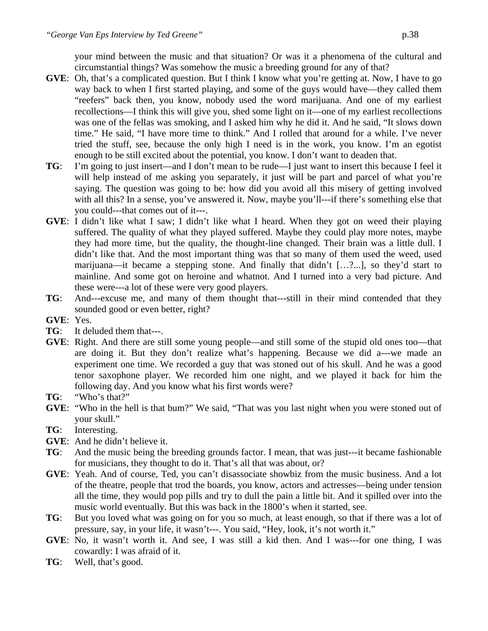your mind between the music and that situation? Or was it a phenomena of the cultural and circumstantial things? Was somehow the music a breeding ground for any of that?

- **GVE**: Oh, that's a complicated question. But I think I know what you're getting at. Now, I have to go way back to when I first started playing, and some of the guys would have—they called them "reefers" back then, you know, nobody used the word marijuana. And one of my earliest recollections—I think this will give you, shed some light on it—one of my earliest recollections was one of the fellas was smoking, and I asked him why he did it. And he said, "It slows down time." He said, "I have more time to think." And I rolled that around for a while. I've never tried the stuff, see, because the only high I need is in the work, you know. I'm an egotist enough to be still excited about the potential, you know. I don't want to deaden that.
- **TG**: I'm going to just insert—and I don't mean to be rude—I just want to insert this because I feel it will help instead of me asking you separately, it just will be part and parcel of what you're saying. The question was going to be: how did you avoid all this misery of getting involved with all this? In a sense, you've answered it. Now, maybe you'll---if there's something else that you could---that comes out of it---.
- **GVE**: I didn't like what I saw; I didn't like what I heard. When they got on weed their playing suffered. The quality of what they played suffered. Maybe they could play more notes, maybe they had more time, but the quality, the thought-line changed. Their brain was a little dull. I didn't like that. And the most important thing was that so many of them used the weed, used marijuana—it became a stepping stone. And finally that didn't […?...], so they'd start to mainline. And some got on heroine and whatnot. And I turned into a very bad picture. And these were---a lot of these were very good players.
- **TG**: And---excuse me, and many of them thought that---still in their mind contended that they sounded good or even better, right?
- **GVE**: Yes.
- **TG**: It deluded them that---.
- **GVE**: Right. And there are still some young people—and still some of the stupid old ones too—that are doing it. But they don't realize what's happening. Because we did a---we made an experiment one time. We recorded a guy that was stoned out of his skull. And he was a good tenor saxophone player. We recorded him one night, and we played it back for him the following day. And you know what his first words were?
- **TG**: "Who's that?"
- **GVE**: "Who in the hell is that bum?" We said, "That was you last night when you were stoned out of your skull."
- **TG**: Interesting.
- **GVE**: And he didn't believe it.
- **TG**: And the music being the breeding grounds factor. I mean, that was just---it became fashionable for musicians, they thought to do it. That's all that was about, or?
- **GVE**: Yeah. And of course, Ted, you can't disassociate showbiz from the music business. And a lot of the theatre, people that trod the boards, you know, actors and actresses—being under tension all the time, they would pop pills and try to dull the pain a little bit. And it spilled over into the music world eventually. But this was back in the 1800's when it started, see.
- **TG**: But you loved what was going on for you so much, at least enough, so that if there was a lot of pressure, say, in your life, it wasn't---. You said, "Hey, look, it's not worth it."
- **GVE**: No, it wasn't worth it. And see, I was still a kid then. And I was---for one thing, I was cowardly: I was afraid of it.
- **TG**: Well, that's good.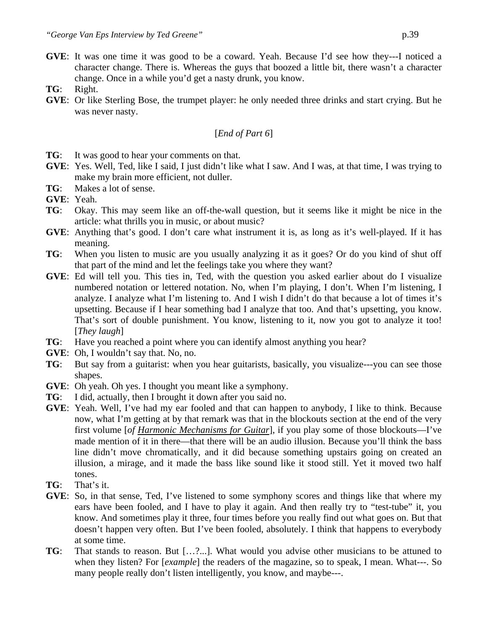- **GVE**: It was one time it was good to be a coward. Yeah. Because I'd see how they---I noticed a character change. There is. Whereas the guys that boozed a little bit, there wasn't a character change. Once in a while you'd get a nasty drunk, you know.
- **TG**: Right.
- **GVE**: Or like Sterling Bose, the trumpet player: he only needed three drinks and start crying. But he was never nasty.

#### [*End of Part 6*]

- **TG**: It was good to hear your comments on that.
- **GVE**: Yes. Well, Ted, like I said, I just didn't like what I saw. And I was, at that time, I was trying to make my brain more efficient, not duller.
- **TG**: Makes a lot of sense.
- **GVE**: Yeah.
- **TG**: Okay. This may seem like an off-the-wall question, but it seems like it might be nice in the article: what thrills you in music, or about music?
- **GVE**: Anything that's good. I don't care what instrument it is, as long as it's well-played. If it has meaning.
- **TG**: When you listen to music are you usually analyzing it as it goes? Or do you kind of shut off that part of the mind and let the feelings take you where they want?
- **GVE**: Ed will tell you. This ties in, Ted, with the question you asked earlier about do I visualize numbered notation or lettered notation. No, when I'm playing, I don't. When I'm listening, I analyze. I analyze what I'm listening to. And I wish I didn't do that because a lot of times it's upsetting. Because if I hear something bad I analyze that too. And that's upsetting, you know. That's sort of double punishment. You know, listening to it, now you got to analyze it too! [*They laugh*]
- **TG**: Have you reached a point where you can identify almost anything you hear?
- **GVE**: Oh, I wouldn't say that. No, no.
- **TG**: But say from a guitarist: when you hear guitarists, basically, you visualize---you can see those shapes.
- **GVE**: Oh yeah. Oh yes. I thought you meant like a symphony.
- **TG**: I did, actually, then I brought it down after you said no.
- **GVE**: Yeah. Well, I've had my ear fooled and that can happen to anybody, I like to think. Because now, what I'm getting at by that remark was that in the blockouts section at the end of the very first volume [*of Harmonic Mechanisms for Guitar*], if you play some of those blockouts—I've made mention of it in there—that there will be an audio illusion. Because you'll think the bass line didn't move chromatically, and it did because something upstairs going on created an illusion, a mirage, and it made the bass like sound like it stood still. Yet it moved two half tones.
- **TG**: That's it.
- **GVE**: So, in that sense, Ted, I've listened to some symphony scores and things like that where my ears have been fooled, and I have to play it again. And then really try to "test-tube" it, you know. And sometimes play it three, four times before you really find out what goes on. But that doesn't happen very often. But I've been fooled, absolutely. I think that happens to everybody at some time.
- **TG**: That stands to reason. But […?...]. What would you advise other musicians to be attuned to when they listen? For [*example*] the readers of the magazine, so to speak, I mean. What---. So many people really don't listen intelligently, you know, and maybe---.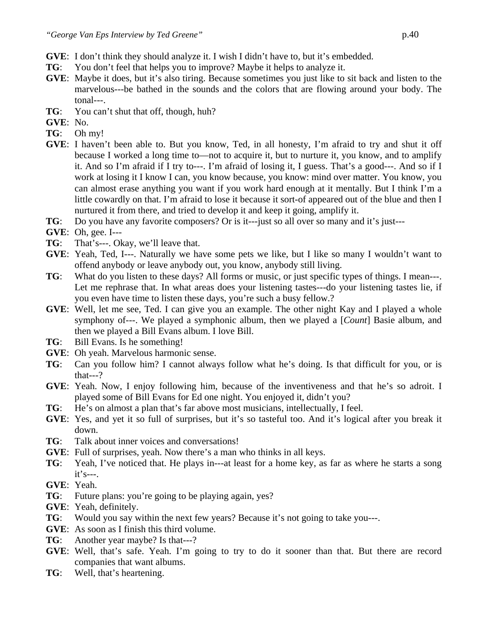- **GVE**: I don't think they should analyze it. I wish I didn't have to, but it's embedded.
- **TG**: You don't feel that helps you to improve? Maybe it helps to analyze it.
- **GVE**: Maybe it does, but it's also tiring. Because sometimes you just like to sit back and listen to the marvelous---be bathed in the sounds and the colors that are flowing around your body. The tonal---.
- **TG**: You can't shut that off, though, huh?

**GVE**: No.

- **TG**: Oh my!
- **GVE**: I haven't been able to. But you know, Ted, in all honesty, I'm afraid to try and shut it off because I worked a long time to—not to acquire it, but to nurture it, you know, and to amplify it. And so I'm afraid if I try to---. I'm afraid of losing it, I guess. That's a good---. And so if I work at losing it I know I can, you know because, you know: mind over matter. You know, you can almost erase anything you want if you work hard enough at it mentally. But I think I'm a little cowardly on that. I'm afraid to lose it because it sort-of appeared out of the blue and then I nurtured it from there, and tried to develop it and keep it going, amplify it.
- **TG**: Do you have any favorite composers? Or is it---just so all over so many and it's just---
- **GVE**: Oh, gee. I---
- **TG**: That's---. Okay, we'll leave that.
- **GVE**: Yeah, Ted, I---. Naturally we have some pets we like, but I like so many I wouldn't want to offend anybody or leave anybody out, you know, anybody still living.
- **TG**: What do you listen to these days? All forms or music, or just specific types of things. I mean---. Let me rephrase that. In what areas does your listening tastes---do your listening tastes lie, if you even have time to listen these days, you're such a busy fellow.?
- **GVE**: Well, let me see, Ted. I can give you an example. The other night Kay and I played a whole symphony of---. We played a symphonic album, then we played a [*Count*] Basie album, and then we played a Bill Evans album. I love Bill.
- **TG**: Bill Evans. Is he something!
- **GVE**: Oh yeah. Marvelous harmonic sense.
- **TG**: Can you follow him? I cannot always follow what he's doing. Is that difficult for you, or is that---?
- **GVE**: Yeah. Now, I enjoy following him, because of the inventiveness and that he's so adroit. I played some of Bill Evans for Ed one night. You enjoyed it, didn't you?
- **TG**: He's on almost a plan that's far above most musicians, intellectually, I feel.
- **GVE**: Yes, and yet it so full of surprises, but it's so tasteful too. And it's logical after you break it down.
- **TG**: Talk about inner voices and conversations!
- **GVE**: Full of surprises, yeah. Now there's a man who thinks in all keys.
- **TG**: Yeah, I've noticed that. He plays in---at least for a home key, as far as where he starts a song it's---.
- **GVE**: Yeah.
- **TG**: Future plans: you're going to be playing again, yes?
- **GVE**: Yeah, definitely.
- **TG:** Would you say within the next few years? Because it's not going to take you---.
- **GVE**: As soon as I finish this third volume.
- **TG**: Another year maybe? Is that---?
- **GVE**: Well, that's safe. Yeah. I'm going to try to do it sooner than that. But there are record companies that want albums.
- **TG**: Well, that's heartening.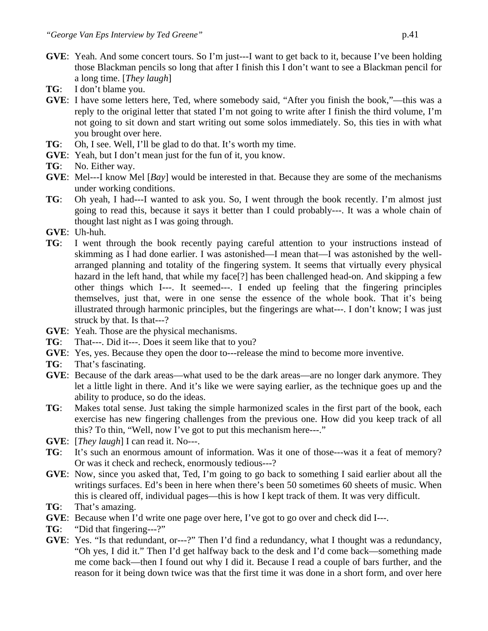- **GVE**: Yeah. And some concert tours. So I'm just---I want to get back to it, because I've been holding those Blackman pencils so long that after I finish this I don't want to see a Blackman pencil for a long time. [*They laugh*]
- **TG**: I don't blame you.
- **GVE**: I have some letters here, Ted, where somebody said, "After you finish the book,"—this was a reply to the original letter that stated I'm not going to write after I finish the third volume, I'm not going to sit down and start writing out some solos immediately. So, this ties in with what you brought over here.
- **TG**: Oh, I see. Well, I'll be glad to do that. It's worth my time.
- **GVE**: Yeah, but I don't mean just for the fun of it, you know.
- **TG**: No. Either way.
- **GVE**: Mel---I know Mel [*Bay*] would be interested in that. Because they are some of the mechanisms under working conditions.
- **TG**: Oh yeah, I had---I wanted to ask you. So, I went through the book recently. I'm almost just going to read this, because it says it better than I could probably---. It was a whole chain of thought last night as I was going through.
- **GVE**: Uh-huh.
- **TG**: I went through the book recently paying careful attention to your instructions instead of skimming as I had done earlier. I was astonished—I mean that—I was astonished by the wellarranged planning and totality of the fingering system. It seems that virtually every physical hazard in the left hand, that while my face[?] has been challenged head-on. And skipping a few other things which I---. It seemed---. I ended up feeling that the fingering principles themselves, just that, were in one sense the essence of the whole book. That it's being illustrated through harmonic principles, but the fingerings are what---. I don't know; I was just struck by that. Is that---?
- **GVE**: Yeah. Those are the physical mechanisms.
- **TG**: That---. Did it---. Does it seem like that to you?
- **GVE**: Yes, yes. Because they open the door to---release the mind to become more inventive.
- **TG**: That's fascinating.
- **GVE**: Because of the dark areas—what used to be the dark areas—are no longer dark anymore. They let a little light in there. And it's like we were saying earlier, as the technique goes up and the ability to produce, so do the ideas.
- **TG**: Makes total sense. Just taking the simple harmonized scales in the first part of the book, each exercise has new fingering challenges from the previous one. How did you keep track of all this? To thin, "Well, now I've got to put this mechanism here---."
- **GVE**: [*They laugh*] I can read it. No---.
- **TG**: It's such an enormous amount of information. Was it one of those---was it a feat of memory? Or was it check and recheck, enormously tedious---?
- **GVE**: Now, since you asked that, Ted, I'm going to go back to something I said earlier about all the writings surfaces. Ed's been in here when there's been 50 sometimes 60 sheets of music. When this is cleared off, individual pages—this is how I kept track of them. It was very difficult.
- **TG**: That's amazing.
- **GVE**: Because when I'd write one page over here, I've got to go over and check did I---.
- **TG**: "Did that fingering---?"
- **GVE**: Yes. "Is that redundant, or---?" Then I'd find a redundancy, what I thought was a redundancy, "Oh yes, I did it." Then I'd get halfway back to the desk and I'd come back—something made me come back—then I found out why I did it. Because I read a couple of bars further, and the reason for it being down twice was that the first time it was done in a short form, and over here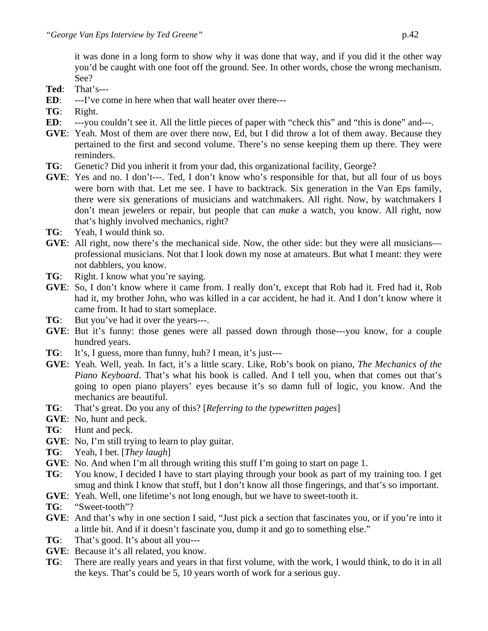it was done in a long form to show why it was done that way, and if you did it the other way you'd be caught with one foot off the ground. See. In other words, chose the wrong mechanism. See?

- **Ted**: That's---
- **ED**: ---I've come in here when that wall heater over the re---
- **TG**: Right.
- **ED**: ---you couldn't see it. All the little pieces of paper with "check this" and "this is done" and---.
- **GVE**: Yeah. Most of them are over there now, Ed, but I did throw a lot of them away. Because they pertained to the first and second volume. There's no sense keeping them up there. They were reminders.
- **TG**: Genetic? Did you inherit it from your dad, this organizational facility, George?
- **GVE**: Yes and no. I don't---. Ted, I don't know who's responsible for that, but all four of us boys were born with that. Let me see. I have to backtrack. Six generation in the Van Eps family, there were six generations of musicians and watchmakers. All right. Now, by watchmakers I don't mean jewelers or repair, but people that can *make* a watch, you know. All right, now that's highly involved mechanics, right?
- **TG**: Yeah, I would think so.
- **GVE**: All right, now there's the mechanical side. Now, the other side: but they were all musicians professional musicians. Not that I look down my nose at amateurs. But what I meant: they were not dabblers, you know.
- **TG**: Right. I know what you're saying.
- **GVE**: So, I don't know where it came from. I really don't, except that Rob had it. Fred had it, Rob had it, my brother John, who was killed in a car accident, he had it. And I don't know where it came from. It had to start someplace.
- **TG**: But you've had it over the years---.
- **GVE**: But it's funny: those genes were all passed down through those---you know, for a couple hundred years.
- **TG**: It's, I guess, more than funny, huh? I mean, it's just---
- **GVE**: Yeah. Well, yeah. In fact, it's a little scary. Like, Rob's book on piano, *The Mechanics of the Piano Keyboard*. That's what his book is called. And I tell you, when that comes out that's going to open piano players' eyes because it's so damn full of logic, you know. And the mechanics are beautiful.
- **TG**: That's great. Do you any of this? [*Referring to the typewritten pages*]
- **GVE**: No, hunt and peck.
- **TG**: Hunt and peck.
- **GVE**: No, I'm still trying to learn to play guitar.
- **TG**: Yeah, I bet. [*They laugh*]
- **GVE**: No. And when I'm all through writing this stuff I'm going to start on page 1.
- **TG**: You know, I decided I have to start playing through your book as part of my training too. I get smug and think I know that stuff, but I don't know all those fingerings, and that's so important.
- **GVE**: Yeah. Well, one lifetime's not long enough, but we have to sweet-tooth it.
- **TG**: "Sweet-tooth"?
- **GVE**: And that's why in one section I said, "Just pick a section that fascinates you, or if you're into it a little bit. And if it doesn't fascinate you, dump it and go to something else."
- **TG**: That's good. It's about all you---
- **GVE**: Because it's all related, you know.
- **TG**: There are really years and years in that first volume, with the work, I would think, to do it in all the keys. That's could be 5, 10 years worth of work for a serious guy.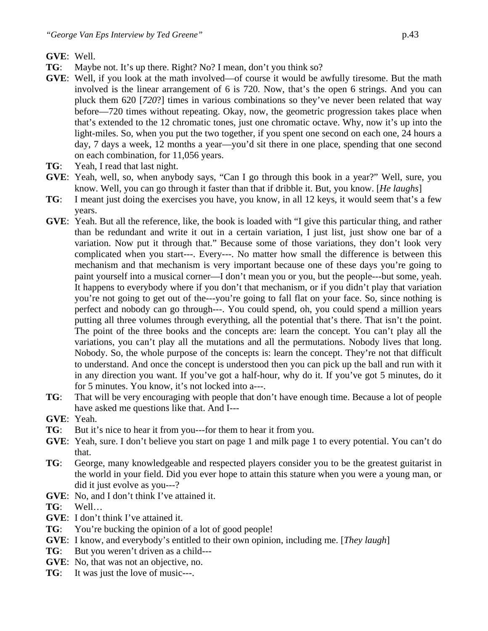# **GVE**: Well.

- **TG**: Maybe not. It's up there. Right? No? I mean, don't you think so?
- **GVE**: Well, if you look at the math involved—of course it would be awfully tiresome. But the math involved is the linear arrangement of 6 is 720. Now, that's the open 6 strings. And you can pluck them 620 [*720*?] times in various combinations so they've never been related that way before—720 times without repeating. Okay, now, the geometric progression takes place when that's extended to the 12 chromatic tones, just one chromatic octave. Why, now it's up into the light-miles. So, when you put the two together, if you spent one second on each one, 24 hours a day, 7 days a week, 12 months a year—you'd sit there in one place, spending that one second on each combination, for 11,056 years.
- **TG**: Yeah, I read that last night.
- **GVE**: Yeah, well, so, when anybody says, "Can I go through this book in a year?" Well, sure, you know. Well, you can go through it faster than that if dribble it. But, you know. [*He laughs*]
- **TG**: I meant just doing the exercises you have, you know, in all 12 keys, it would seem that's a few years.
- **GVE**: Yeah. But all the reference, like, the book is loaded with "I give this particular thing, and rather than be redundant and write it out in a certain variation, I just list, just show one bar of a variation. Now put it through that." Because some of those variations, they don't look very complicated when you start---. Every---. No matter how small the difference is between this mechanism and that mechanism is very important because one of these days you're going to paint yourself into a musical corner—I don't mean you or you, but the people---but some, yeah. It happens to everybody where if you don't that mechanism, or if you didn't play that variation you're not going to get out of the---you're going to fall flat on your face. So, since nothing is perfect and nobody can go through---. You could spend, oh, you could spend a million years putting all three volumes through everything, all the potential that's there. That isn't the point. The point of the three books and the concepts are: learn the concept. You can't play all the variations, you can't play all the mutations and all the permutations. Nobody lives that long. Nobody. So, the whole purpose of the concepts is: learn the concept. They're not that difficult to understand. And once the concept is understood then you can pick up the ball and run with it in any direction you want. If you've got a half-hour, why do it. If you've got 5 minutes, do it for 5 minutes. You know, it's not locked into a---.
- **TG**: That will be very encouraging with people that don't have enough time. Because a lot of people have asked me questions like that. And I---
- **GVE**: Yeah.
- **TG**: But it's nice to hear it from you---for them to hear it from you.
- **GVE**: Yeah, sure. I don't believe you start on page 1 and milk page 1 to every potential. You can't do that.
- **TG**: George, many knowledgeable and respected players consider you to be the greatest guitarist in the world in your field. Did you ever hope to attain this stature when you were a young man, or did it just evolve as you---?
- **GVE**: No, and I don't think I've attained it.
- **TG**: Well…
- **GVE**: I don't think I've attained it.
- **TG**: You're bucking the opinion of a lot of good people!
- **GVE**: I know, and everybody's entitled to their own opinion, including me. [*They laugh*]
- **TG**: But you weren't driven as a child---
- **GVE**: No, that was not an objective, no.
- **TG**: It was just the love of music---.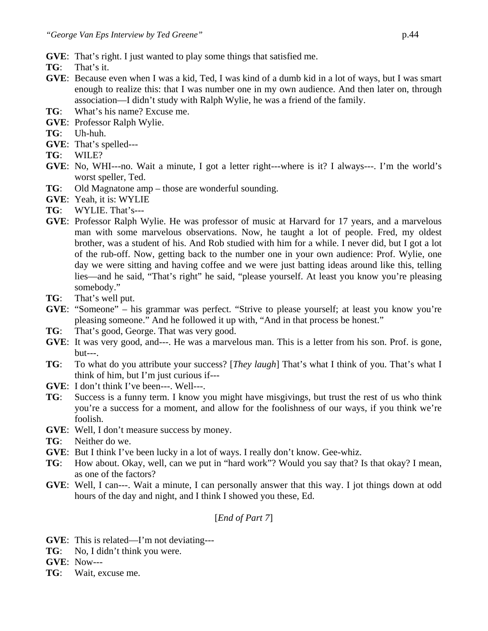- **GVE**: That's right. I just wanted to play some things that satisfied me.
- **TG**: That's it.
- **GVE**: Because even when I was a kid, Ted, I was kind of a dumb kid in a lot of ways, but I was smart enough to realize this: that I was number one in my own audience. And then later on, through association—I didn't study with Ralph Wylie, he was a friend of the family.
- **TG**: What's his name? Excuse me.
- **GVE**: Professor Ralph Wylie.
- **TG**: Uh-huh.
- **GVE**: That's spelled---
- **TG**: WILE?
- **GVE**: No, WHI---no. Wait a minute, I got a letter right---where is it? I always---. I'm the world's worst speller, Ted.
- **TG**: Old Magnatone amp those are wonderful sounding.
- **GVE**: Yeah, it is: WYLIE
- **TG**: WYLIE. That's---
- **GVE**: Professor Ralph Wylie. He was professor of music at Harvard for 17 years, and a marvelous man with some marvelous observations. Now, he taught a lot of people. Fred, my oldest brother, was a student of his. And Rob studied with him for a while. I never did, but I got a lot of the rub-off. Now, getting back to the number one in your own audience: Prof. Wylie, one day we were sitting and having coffee and we were just batting ideas around like this, telling lies—and he said, "That's right" he said, "please yourself. At least you know you're pleasing somebody."
- **TG**: That's well put.
- **GVE**: "Someone" his grammar was perfect. "Strive to please yourself; at least you know you're pleasing someone." And he followed it up with, "And in that process be honest."
- **TG**: That's good, George. That was very good.
- **GVE**: It was very good, and---. He was a marvelous man. This is a letter from his son. Prof. is gone,  $but--$ .
- **TG**: To what do you attribute your success? [*They laugh*] That's what I think of you. That's what I think of him, but I'm just curious if---
- **GVE**: I don't think I've been---. Well---.
- **TG**: Success is a funny term. I know you might have misgivings, but trust the rest of us who think you're a success for a moment, and allow for the foolishness of our ways, if you think we're foolish.
- **GVE**: Well, I don't measure success by money.
- **TG**: Neither do we.
- **GVE**: But I think I've been lucky in a lot of ways. I really don't know. Gee-whiz.
- **TG**: How about. Okay, well, can we put in "hard work"? Would you say that? Is that okay? I mean, as one of the factors?
- **GVE**: Well, I can---. Wait a minute, I can personally answer that this way. I jot things down at odd hours of the day and night, and I think I showed you these, Ed.

# [*End of Part 7*]

- **GVE**: This is related—I'm not deviating---
- **TG**: No, I didn't think you were.
- **GVE**: Now---
- **TG**: Wait, excuse me.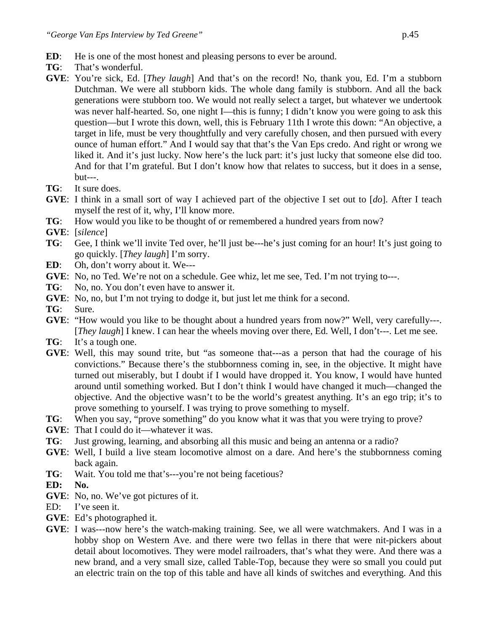- **ED:** He is one of the most honest and pleasing persons to ever be around.
- **TG**: That's wonderful.
- **GVE**: You're sick, Ed. [*They laugh*] And that's on the record! No, thank you, Ed. I'm a stubborn Dutchman. We were all stubborn kids. The whole dang family is stubborn. And all the back generations were stubborn too. We would not really select a target, but whatever we undertook was never half-hearted. So, one night I—this is funny; I didn't know you were going to ask this question—but I wrote this down, well, this is February 11th I wrote this down: "An objective, a target in life, must be very thoughtfully and very carefully chosen, and then pursued with every ounce of human effort." And I would say that that's the Van Eps credo. And right or wrong we liked it. And it's just lucky. Now here's the luck part: it's just lucky that someone else did too. And for that I'm grateful. But I don't know how that relates to success, but it does in a sense,  $but--$ .
- **TG**: It sure does.
- **GVE**: I think in a small sort of way I achieved part of the objective I set out to [*do*]. After I teach myself the rest of it, why, I'll know more.
- **TG**: How would you like to be thought of or remembered a hundred years from now?
- **GVE**: [*silence*]
- **TG**: Gee, I think we'll invite Ted over, he'll just be---he's just coming for an hour! It's just going to go quickly. [*They laugh*] I'm sorry.
- **ED**: Oh, don't worry about it. We---
- **GVE**: No, no Ted. We're not on a schedule. Gee whiz, let me see, Ted. I'm not trying to---.
- **TG**: No, no. You don't even have to answer it.
- **GVE**: No, no, but I'm not trying to dodge it, but just let me think for a second.
- **TG**: Sure.
- **GVE**: "How would you like to be thought about a hundred years from now?" Well, very carefully---. [*They laugh*] I knew. I can hear the wheels moving over there, Ed. Well, I don't---. Let me see.
- **TG**: It's a tough one.
- **GVE**: Well, this may sound trite, but "as someone that---as a person that had the courage of his convictions." Because there's the stubbornness coming in, see, in the objective. It might have turned out miserably, but I doubt if I would have dropped it. You know, I would have hunted around until something worked. But I don't think I would have changed it much—changed the objective. And the objective wasn't to be the world's greatest anything. It's an ego trip; it's to prove something to yourself. I was trying to prove something to myself.
- **TG**: When you say, "prove something" do you know what it was that you were trying to prove?
- **GVE**: That I could do it—whatever it was.
- **TG**: Just growing, learning, and absorbing all this music and being an antenna or a radio?
- **GVE**: Well, I build a live steam locomotive almost on a dare. And here's the stubbornness coming back again.
- **TG**: Wait. You told me that's---you're not being facetious?
- **ED: No.**
- **GVE**: No, no. We've got pictures of it.
- ED: I've seen it.
- **GVE**: Ed's photographed it.
- **GVE**: I was---now here's the watch-making training. See, we all were watchmakers. And I was in a hobby shop on Western Ave. and there were two fellas in there that were nit-pickers about detail about locomotives. They were model railroaders, that's what they were. And there was a new brand, and a very small size, called Table-Top, because they were so small you could put an electric train on the top of this table and have all kinds of switches and everything. And this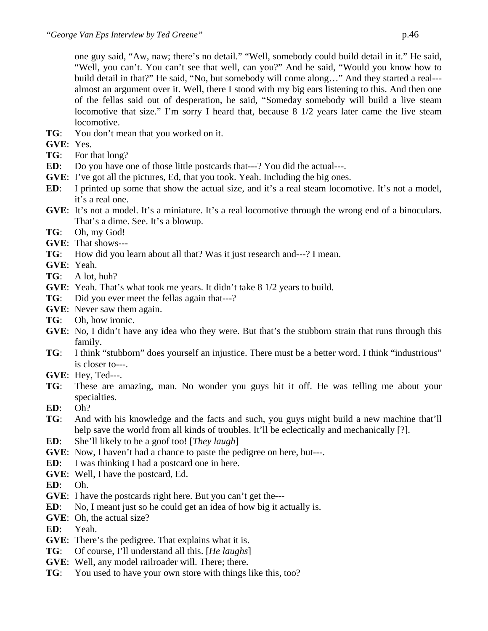one guy said, "Aw, naw; there's no detail." "Well, somebody could build detail in it." He said, "Well, you can't. You can't see that well, can you?" And he said, "Would you know how to build detail in that?" He said, "No, but somebody will come along…" And they started a real-- almost an argument over it. Well, there I stood with my big ears listening to this. And then one of the fellas said out of desperation, he said, "Someday somebody will build a live steam locomotive that size." I'm sorry I heard that, because 8 1/2 years later came the live steam locomotive.

- **TG**: You don't mean that you worked on it.
- **GVE**: Yes.
- **TG**: For that long?
- **ED:** Do you have one of those little postcards that---? You did the actual---.
- **GVE**: I've got all the pictures, Ed, that you took. Yeah. Including the big ones.
- **ED:** I printed up some that show the actual size, and it's a real steam locomotive. It's not a model, it's a real one.
- **GVE**: It's not a model. It's a miniature. It's a real locomotive through the wrong end of a binoculars. That's a dime. See. It's a blowup.
- **TG**: Oh, my God!
- **GVE**: That shows---
- **TG**: How did you learn about all that? Was it just research and---? I mean.
- **GVE**: Yeah.
- **TG**: A lot, huh?
- **GVE**: Yeah. That's what took me years. It didn't take 8 1/2 years to build.
- **TG**: Did you ever meet the fellas again that---?
- **GVE**: Never saw them again.
- **TG**: Oh, how ironic.
- **GVE**: No, I didn't have any idea who they were. But that's the stubborn strain that runs through this family.
- **TG**: I think "stubborn" does yourself an injustice. There must be a better word. I think "industrious" is closer to---.
- **GVE**: Hey, Ted---.
- **TG**: These are amazing, man. No wonder you guys hit it off. He was telling me about your specialties.
- **ED**: Oh?
- **TG**: And with his knowledge and the facts and such, you guys might build a new machine that'll help save the world from all kinds of troubles. It'll be eclectically and mechanically [?].
- **ED**: She'll likely to be a goof too! [*They laugh*]
- **GVE:** Now, I haven't had a chance to paste the pedigree on here, but---.
- **ED**: I was thinking I had a postcard one in here.
- **GVE**: Well, I have the postcard, Ed.

**ED**: Oh.

- **GVE**: I have the postcards right here. But you can't get the---
- **ED**: No, I meant just so he could get an idea of how big it actually is.
- **GVE**: Oh, the actual size?
- **ED**: Yeah.
- **GVE**: There's the pedigree. That explains what it is.
- **TG**: Of course, I'll understand all this. [*He laughs*]
- **GVE**: Well, any model railroader will. There; there.
- **TG**: You used to have your own store with things like this, too?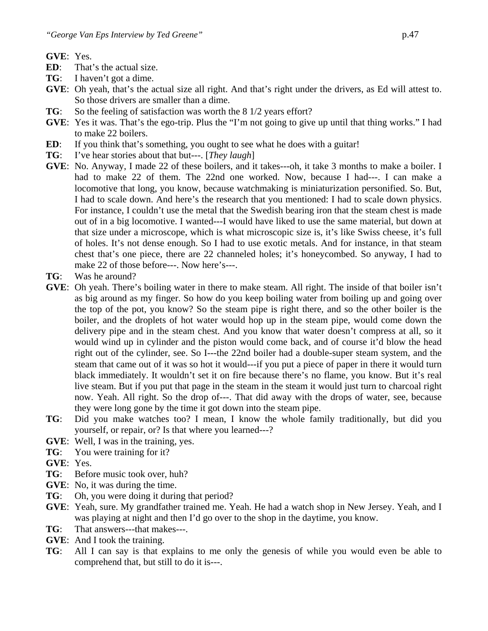**GVE**: Yes.

- **ED**: That's the actual size.
- **TG**: I haven't got a dime.
- **GVE**: Oh yeah, that's the actual size all right. And that's right under the drivers, as Ed will attest to. So those drivers are smaller than a dime.
- **TG**: So the feeling of satisfaction was worth the 8 1/2 years effort?
- **GVE**: Yes it was. That's the ego-trip. Plus the "I'm not going to give up until that thing works." I had to make 22 boilers.
- **ED**: If you think that's something, you ought to see what he does with a guitar!
- **TG**: I've hear stories about that but---. [*They laugh*]
- **GVE**: No. Anyway, I made 22 of these boilers, and it takes---oh, it take 3 months to make a boiler. I had to make 22 of them. The 22nd one worked. Now, because I had---. I can make a locomotive that long, you know, because watchmaking is miniaturization personified. So. But, I had to scale down. And here's the research that you mentioned: I had to scale down physics. For instance, I couldn't use the metal that the Swedish bearing iron that the steam chest is made out of in a big locomotive. I wanted---I would have liked to use the same material, but down at that size under a microscope, which is what microscopic size is, it's like Swiss cheese, it's full of holes. It's not dense enough. So I had to use exotic metals. And for instance, in that steam chest that's one piece, there are 22 channeled holes; it's honeycombed. So anyway, I had to make 22 of those before---. Now here's---.
- **TG**: Was he around?
- **GVE**: Oh yeah. There's boiling water in there to make steam. All right. The inside of that boiler isn't as big around as my finger. So how do you keep boiling water from boiling up and going over the top of the pot, you know? So the steam pipe is right there, and so the other boiler is the boiler, and the droplets of hot water would hop up in the steam pipe, would come down the delivery pipe and in the steam chest. And you know that water doesn't compress at all, so it would wind up in cylinder and the piston would come back, and of course it'd blow the head right out of the cylinder, see. So I---the 22nd boiler had a double-super steam system, and the steam that came out of it was so hot it would---if you put a piece of paper in there it would turn black immediately. It wouldn't set it on fire because there's no flame, you know. But it's real live steam. But if you put that page in the steam in the steam it would just turn to charcoal right now. Yeah. All right. So the drop of---. That did away with the drops of water, see, because they were long gone by the time it got down into the steam pipe.
- **TG**: Did you make watches too? I mean, I know the whole family traditionally, but did you yourself, or repair, or? Is that where you learned---?
- **GVE**: Well, I was in the training, yes.
- **TG**: You were training for it?
- **GVE**: Yes.
- **TG**: Before music took over, huh?
- **GVE**: No, it was during the time.
- **TG**: Oh, you were doing it during that period?
- **GVE**: Yeah, sure. My grandfather trained me. Yeah. He had a watch shop in New Jersey. Yeah, and I was playing at night and then I'd go over to the shop in the daytime, you know.
- **TG**: That answers---that makes---.
- **GVE**: And I took the training.
- **TG**: All I can say is that explains to me only the genesis of while you would even be able to comprehend that, but still to do it is---.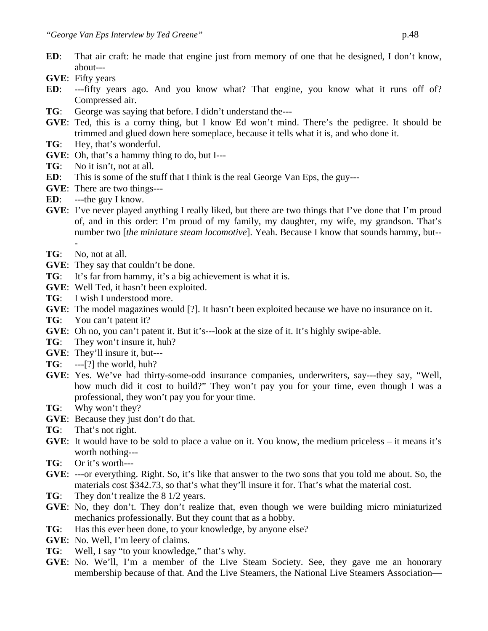- **ED**: That air craft: he made that engine just from memory of one that he designed, I don't know, about---
- **GVE**: Fifty years
- **ED**: ---fifty years ago. And you know what? That engine, you know what it runs off of? Compressed air.
- **TG**: George was saying that before. I didn't understand the---
- **GVE**: Ted, this is a corny thing, but I know Ed won't mind. There's the pedigree. It should be trimmed and glued down here someplace, because it tells what it is, and who done it.
- **TG**: Hey, that's wonderful.
- **GVE**: Oh, that's a hammy thing to do, but I---
- **TG**: No it isn't, not at all.
- **ED:** This is some of the stuff that I think is the real George Van Eps, the guy---
- **GVE**: There are two things---
- **ED**: ---the guy I know.
- **GVE**: I've never played anything I really liked, but there are two things that I've done that I'm proud of, and in this order: I'm proud of my family, my daughter, my wife, my grandson. That's number two [*the miniature steam locomotive*]. Yeah. Because I know that sounds hammy, but--
- **TG**: No, not at all.
- **GVE**: They say that couldn't be done.
- **TG**: It's far from hammy, it's a big achievement is what it is.
- **GVE**: Well Ted, it hasn't been exploited.
- **TG**: I wish I understood more.
- **GVE**: The model magazines would [?]. It hasn't been exploited because we have no insurance on it.
- **TG**: You can't patent it?
- **GVE**: Oh no, you can't patent it. But it's---look at the size of it. It's highly swipe-able.
- **TG**: They won't insure it, huh?
- **GVE**: They'll insure it, but---
- **TG**: ---[?] the world, huh?
- **GVE**: Yes. We've had thirty-some-odd insurance companies, underwriters, say---they say, "Well, how much did it cost to build?" They won't pay you for your time, even though I was a professional, they won't pay you for your time.
- **TG**: Why won't they?
- **GVE**: Because they just don't do that.
- **TG**: That's not right.
- **GVE**: It would have to be sold to place a value on it. You know, the medium priceless it means it's worth nothing---
- **TG**: Or it's worth---
- **GVE**: ---or everything. Right. So, it's like that answer to the two sons that you told me about. So, the materials cost \$342.73, so that's what they'll insure it for. That's what the material cost.
- **TG**: They don't realize the 8 1/2 years.
- **GVE**: No, they don't. They don't realize that, even though we were building micro miniaturized mechanics professionally. But they count that as a hobby.
- **TG**: Has this ever been done, to your knowledge, by anyone else?
- **GVE**: No. Well, I'm leery of claims.
- **TG**: Well, I say "to your knowledge," that's why.
- **GVE**: No. We'll, I'm a member of the Live Steam Society. See, they gave me an honorary membership because of that. And the Live Steamers, the National Live Steamers Association—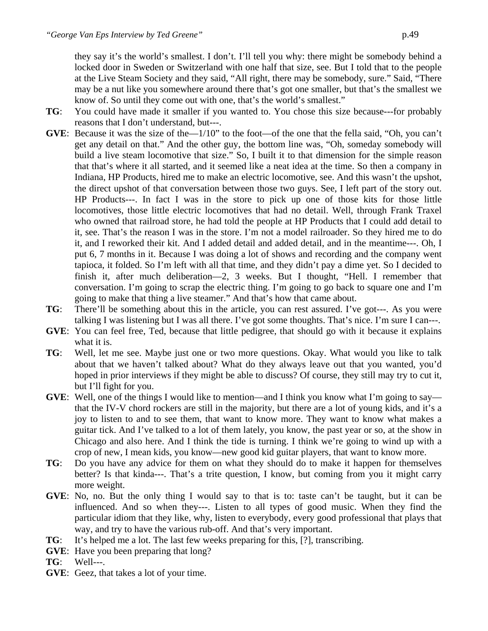they say it's the world's smallest. I don't. I'll tell you why: there might be somebody behind a locked door in Sweden or Switzerland with one half that size, see. But I told that to the people at the Live Steam Society and they said, "All right, there may be somebody, sure." Said, "There may be a nut like you somewhere around there that's got one smaller, but that's the smallest we know of. So until they come out with one, that's the world's smallest."

- **TG**: You could have made it smaller if you wanted to. You chose this size because---for probably reasons that I don't understand, but---.
- **GVE**: Because it was the size of the—1/10" to the foot—of the one that the fella said, "Oh, you can't get any detail on that." And the other guy, the bottom line was, "Oh, someday somebody will build a live steam locomotive that size." So, I built it to that dimension for the simple reason that that's where it all started, and it seemed like a neat idea at the time. So then a company in Indiana, HP Products, hired me to make an electric locomotive, see. And this wasn't the upshot, the direct upshot of that conversation between those two guys. See, I left part of the story out. HP Products---. In fact I was in the store to pick up one of those kits for those little locomotives, those little electric locomotives that had no detail. Well, through Frank Traxel who owned that railroad store, he had told the people at HP Products that I could add detail to it, see. That's the reason I was in the store. I'm not a model railroader. So they hired me to do it, and I reworked their kit. And I added detail and added detail, and in the meantime---. Oh, I put 6, 7 months in it. Because I was doing a lot of shows and recording and the company went tapioca, it folded. So I'm left with all that time, and they didn't pay a dime yet. So I decided to finish it, after much deliberation—2, 3 weeks. But I thought, "Hell. I remember that conversation. I'm going to scrap the electric thing. I'm going to go back to square one and I'm going to make that thing a live steamer." And that's how that came about.
- **TG**: There'll be something about this in the article, you can rest assured. I've got---. As you were talking I was listening but I was all there. I've got some thoughts. That's nice. I'm sure I can---.
- **GVE**: You can feel free, Ted, because that little pedigree, that should go with it because it explains what it is.
- **TG**: Well, let me see. Maybe just one or two more questions. Okay. What would you like to talk about that we haven't talked about? What do they always leave out that you wanted, you'd hoped in prior interviews if they might be able to discuss? Of course, they still may try to cut it, but I'll fight for you.
- **GVE**: Well, one of the things I would like to mention—and I think you know what I'm going to say that the IV-V chord rockers are still in the majority, but there are a lot of young kids, and it's a joy to listen to and to see them, that want to know more. They want to know what makes a guitar tick. And I've talked to a lot of them lately, you know, the past year or so, at the show in Chicago and also here. And I think the tide is turning. I think we're going to wind up with a crop of new, I mean kids, you know—new good kid guitar players, that want to know more.
- **TG**: Do you have any advice for them on what they should do to make it happen for themselves better? Is that kinda---. That's a trite question, I know, but coming from you it might carry more weight.
- **GVE**: No, no. But the only thing I would say to that is to: taste can't be taught, but it can be influenced. And so when they---. Listen to all types of good music. When they find the particular idiom that they like, why, listen to everybody, every good professional that plays that way, and try to have the various rub-off. And that's very important.
- **TG**: It's helped me a lot. The last few weeks preparing for this, [?], transcribing.
- **GVE**: Have you been preparing that long?
- **TG**: Well---.
- **GVE**: Geez, that takes a lot of your time.